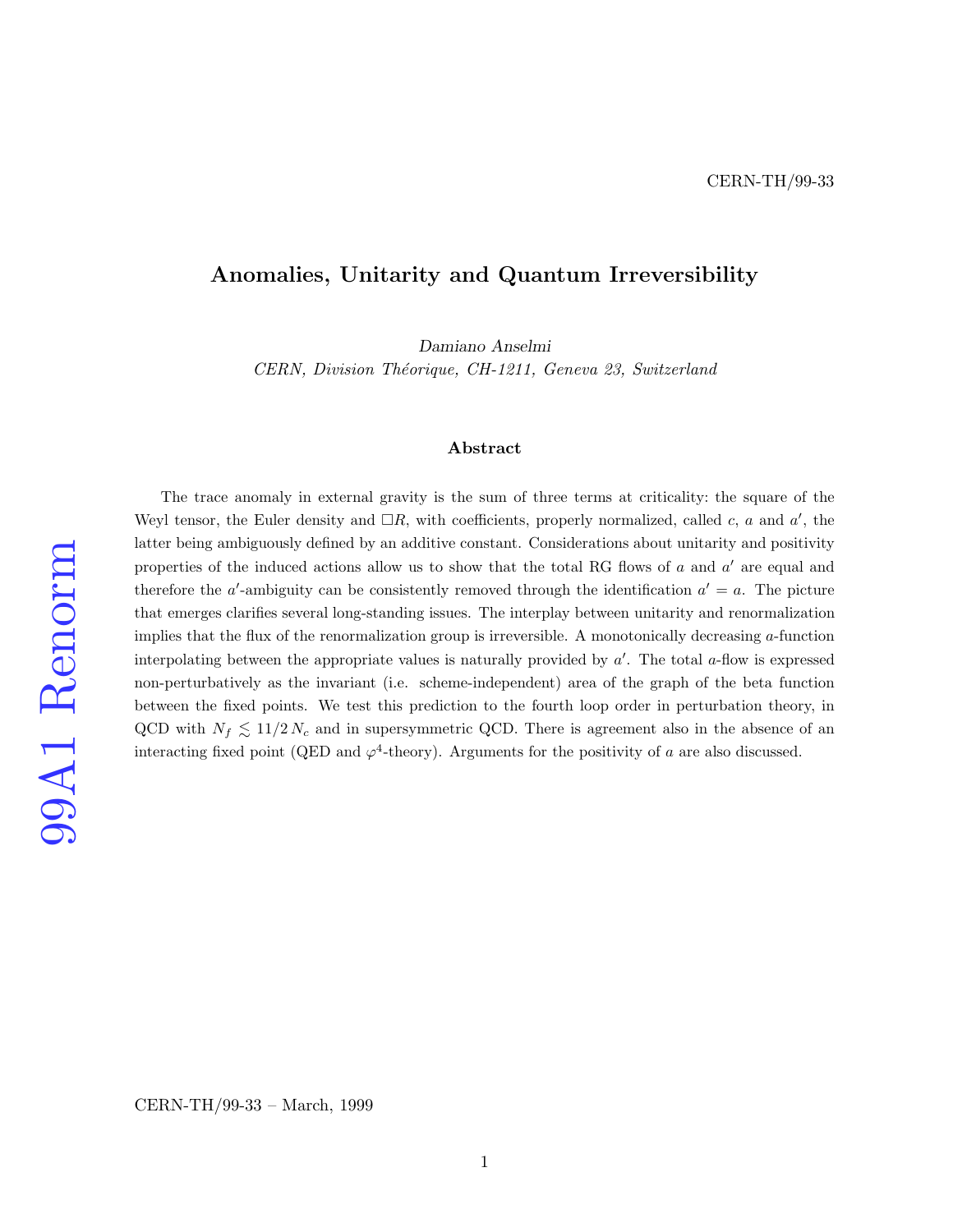## Anomalies, Unitarity and Quantum Irreversibility

Damiano Anselmi

CERN, Division Théorique, CH-1211, Geneva 23, Switzerland

### Abstract

99A1 Renorm

The trace anomaly in external gravity is the sum of three terms at criticality: the square of the Weyl tensor, the Euler density and  $\Box R$ , with coefficients, properly normalized, called c, a and a', the latter being ambiguously defined by an additive constant. Considerations about unitarity and positivity properties of the induced actions allow us to show that the total RG flows of  $a$  and  $a'$  are equal and therefore the a'-ambiguity can be consistently removed through the identification  $a' = a$ . The picture that emerges clarifies several long-standing issues. The interplay between unitarity and renormalization implies that the flux of the renormalization group is irreversible. A monotonically decreasing a-function interpolating between the appropriate values is naturally provided by  $a'$ . The total  $a$ -flow is expressed non-perturbatively as the invariant (i.e. scheme-independent) area of the graph of the beta function between the fixed points. We test this prediction to the fourth loop order in perturbation theory, in QCD with  $N_f \lesssim 11/2 N_c$  and in supersymmetric QCD. There is agreement also in the absence of an interacting fixed point (QED and  $\varphi^4$ -theory). Arguments for the positivity of a are also discussed.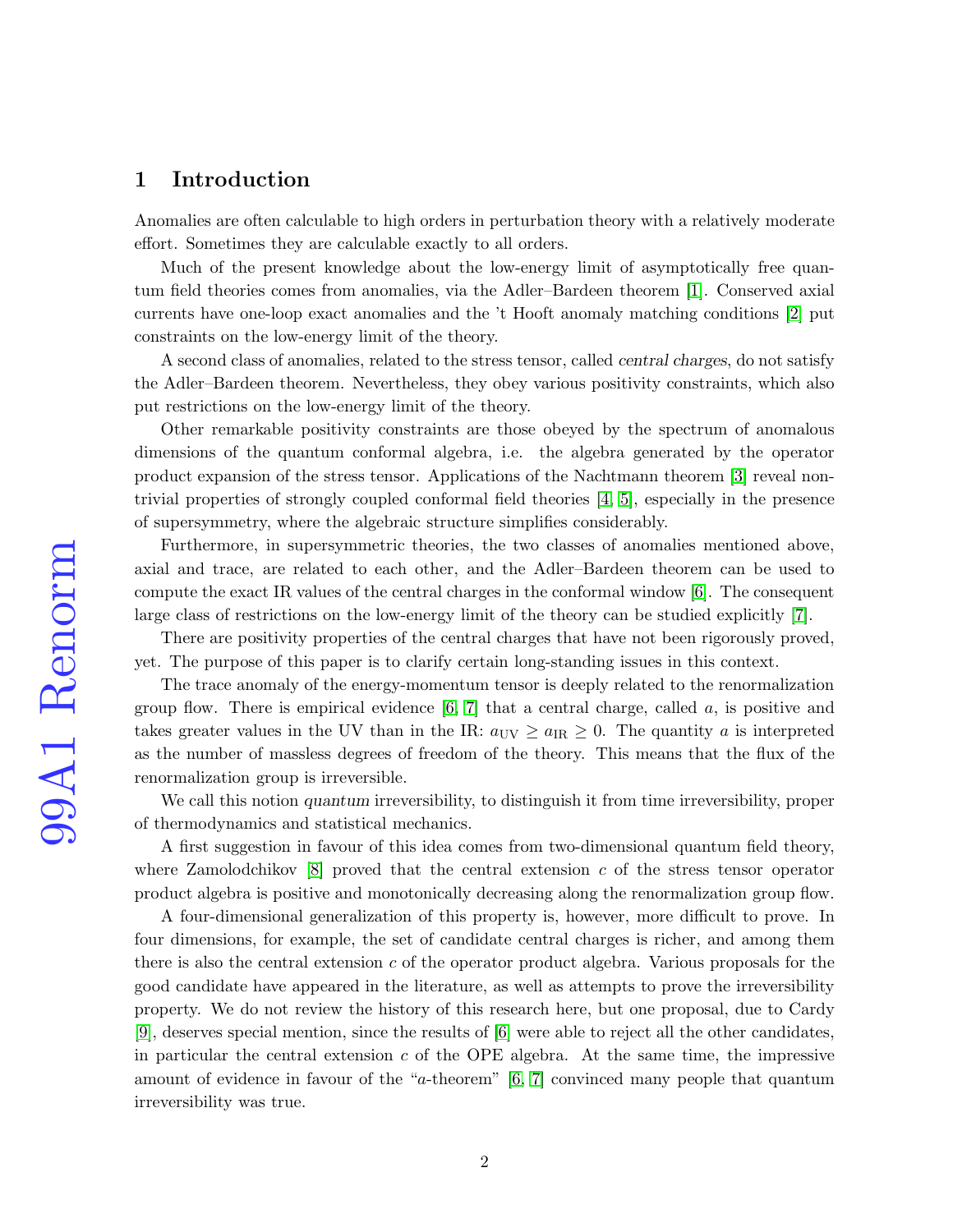# 1 Introduction

Anomalies are often calculable to high orders in perturbation theory with a relatively moderate effort. Sometimes they are calculable exactly to all orders.

Much of the present knowledge about the low-energy limit of asymptotically free quantum field theories comes from anomalies, via the Adler–Bardeen theorem [\[1\]](#page-26-0). Conserved axial currents have one-loop exact anomalies and the 't Hooft anomaly matching conditions [\[2\]](#page-26-1) put constraints on the low-energy limit of the theory.

A second class of anomalies, related to the stress tensor, called central charges, do not satisfy the Adler–Bardeen theorem. Nevertheless, they obey various positivity constraints, which also put restrictions on the low-energy limit of the theory.

Other remarkable positivity constraints are those obeyed by the spectrum of anomalous dimensions of the quantum conformal algebra, i.e. the algebra generated by the operator product expansion of the stress tensor. Applications of the Nachtmann theorem [\[3\]](#page-26-2) reveal nontrivial properties of strongly coupled conformal field theories [\[4,](#page-26-3) [5\]](#page-26-4), especially in the presence of supersymmetry, where the algebraic structure simplifies considerably.

Furthermore, in supersymmetric theories, the two classes of anomalies mentioned above, axial and trace, are related to each other, and the Adler–Bardeen theorem can be used to compute the exact IR values of the central charges in the conformal window [\[6\]](#page-26-5). The consequent large class of restrictions on the low-energy limit of the theory can be studied explicitly [\[7\]](#page-27-0).

There are positivity properties of the central charges that have not been rigorously proved, yet. The purpose of this paper is to clarify certain long-standing issues in this context.

The trace anomaly of the energy-momentum tensor is deeply related to the renormalization group flow. There is empirical evidence  $[6, 7]$  $[6, 7]$  that a central charge, called a, is positive and takes greater values in the UV than in the IR:  $a_{UV} \ge a_{IR} \ge 0$ . The quantity a is interpreted as the number of massless degrees of freedom of the theory. This means that the flux of the renormalization group is irreversible.

We call this notion quantum irreversibility, to distinguish it from time irreversibility, proper of thermodynamics and statistical mechanics.

A first suggestion in favour of this idea comes from two-dimensional quantum field theory, where Zamolodchikov  $[8]$  proved that the central extension c of the stress tensor operator product algebra is positive and monotonically decreasing along the renormalization group flow.

A four-dimensional generalization of this property is, however, more difficult to prove. In four dimensions, for example, the set of candidate central charges is richer, and among them there is also the central extension c of the operator product algebra. Various proposals for the good candidate have appeared in the literature, as well as attempts to prove the irreversibility property. We do not review the history of this research here, but one proposal, due to Cardy [\[9\]](#page-27-2), deserves special mention, since the results of [\[6\]](#page-26-5) were able to reject all the other candidates, in particular the central extension  $c$  of the OPE algebra. At the same time, the impressive amount of evidence in favour of the "a-theorem" [\[6,](#page-26-5) [7\]](#page-27-0) convinced many people that quantum irreversibility was true.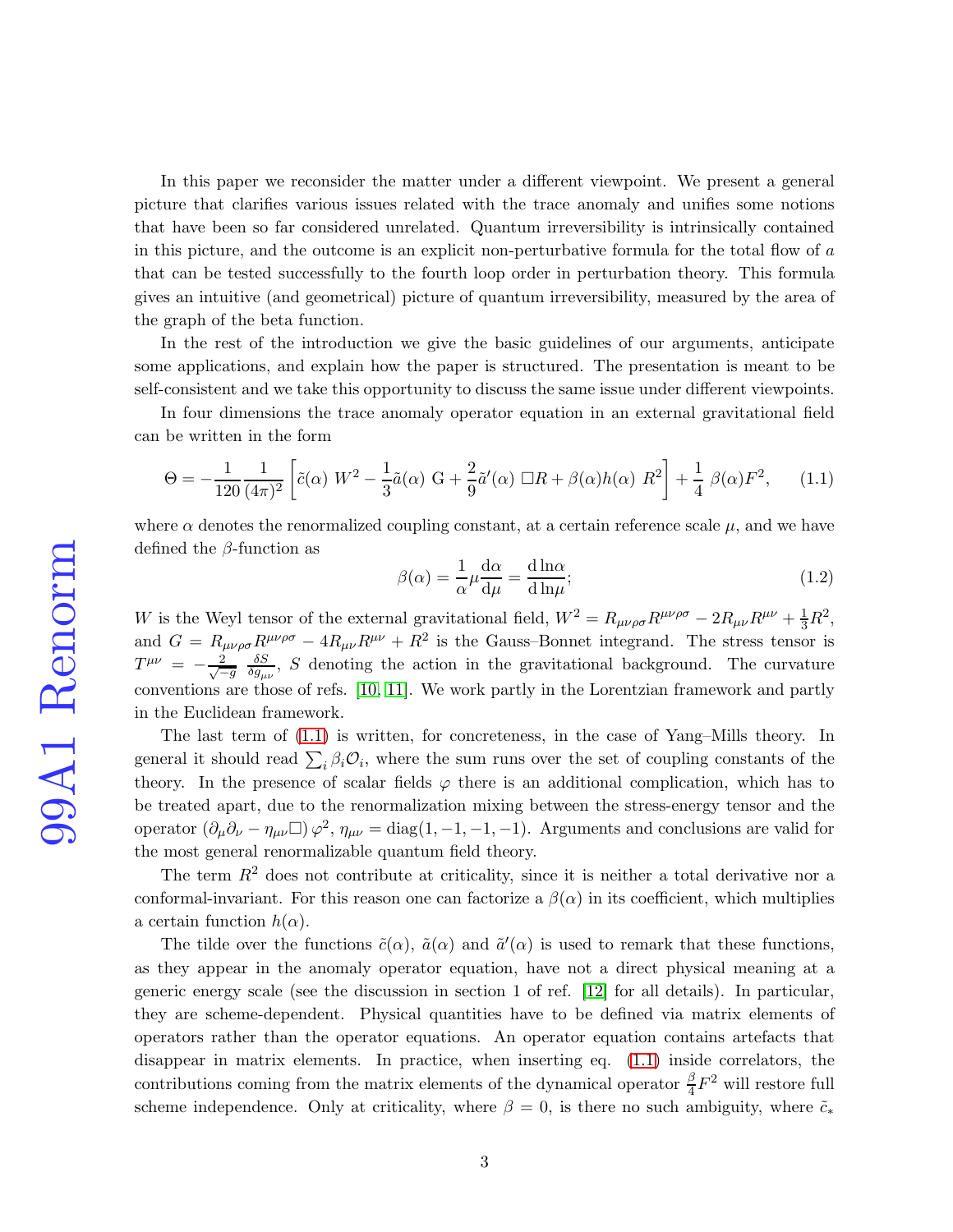In this paper we reconsider the matter under a different viewpoint. We present a general picture that clarifies various issues related with the trace anomaly and unifies some notions that have been so far considered unrelated. Quantum irreversibility is intrinsically contained in this picture, and the outcome is an explicit non-perturbative formula for the total flow of a that can be tested successfully to the fourth loop order in perturbation theory. This formula gives an intuitive (and geometrical) picture of quantum irreversibility, measured by the area of the graph of the beta function.

In the rest of the introduction we give the basic guidelines of our arguments, anticipate some applications, and explain how the paper is structured. The presentation is meant to be self-consistent and we take this opportunity to discuss the same issue under different viewpoints.

In four dimensions the trace anomaly operator equation in an external gravitational field can be written in the form

<span id="page-2-0"></span>
$$
\Theta = -\frac{1}{120} \frac{1}{(4\pi)^2} \left[ \tilde{c}(\alpha) \ W^2 - \frac{1}{3} \tilde{a}(\alpha) \ G + \frac{2}{9} \tilde{a}'(\alpha) \ \Box R + \beta(\alpha) h(\alpha) \ R^2 \right] + \frac{1}{4} \ \beta(\alpha) F^2, \tag{1.1}
$$

where  $\alpha$  denotes the renormalized coupling constant, at a certain reference scale  $\mu$ , and we have defined the  $\beta$ -function as

$$
\beta(\alpha) = \frac{1}{\alpha} \mu \frac{d\alpha}{d\mu} = \frac{d \ln \alpha}{d \ln \mu};
$$
\n(1.2)

W is the Weyl tensor of the external gravitational field,  $W^2 = R_{\mu\nu\rho\sigma} R^{\mu\nu\rho\sigma} - 2R_{\mu\nu}R^{\mu\nu} + \frac{1}{3}R^2$ , and  $G = R_{\mu\nu\rho\sigma} R^{\mu\nu\rho\sigma} - 4R_{\mu\nu}R^{\mu\nu} + R^2$  is the Gauss-Bonnet integrand. The stress tensor is  $T^{\mu\nu}$  =  $-\frac{2}{\sqrt{-\frac{2}{\sqrt{-\frac{2}{\sqrt{-\frac{2}{\sqrt{-\frac{2}{\sqrt{-\frac{2}{\sqrt{-\frac{2}{\sqrt{-\frac{2}{\sqrt{-\frac{2}{\sqrt{-\frac{2}{\sqrt{-\frac{2}{\sqrt{-\frac{2}{\sqrt{-\frac{2}{\sqrt{-\frac{2}{\sqrt{-\frac{2}{\sqrt{-\frac{2}{\sqrt{-\frac{2}{\sqrt{-\frac{2}{\sqrt{-\frac{2}{\sqrt{-\frac{2}{\sqrt{-\frac{2}{\sqrt{-\frac{2}{\sqrt{-\frac{2}{\sqrt{-\frac{2}{\sqrt{-\frac{2}{\sqrt{-\frac{2}{\sqrt{ -g$  $\delta S$  $\frac{\partial S}{\partial g_{\mu\nu}}$ , S denoting the action in the gravitational background. The curvature conventions are those of refs. [\[10,](#page-27-3) [11\]](#page-27-4). We work partly in the Lorentzian framework and partly in the Euclidean framework.

The last term of [\(1.1\)](#page-2-0) is written, for concreteness, in the case of Yang–Mills theory. In general it should read  $\sum_i \beta_i \mathcal{O}_i$ , where the sum runs over the set of coupling constants of the theory. In the presence of scalar fields  $\varphi$  there is an additional complication, which has to be treated apart, due to the renormalization mixing between the stress-energy tensor and the operator  $(\partial_{\mu}\partial_{\nu} - \eta_{\mu\nu})\varphi^2$ ,  $\eta_{\mu\nu} = \text{diag}(1, -1, -1, -1)$ . Arguments and conclusions are valid for the most general renormalizable quantum field theory.

The term  $R<sup>2</sup>$  does not contribute at criticality, since it is neither a total derivative nor a conformal-invariant. For this reason one can factorize a  $\beta(\alpha)$  in its coefficient, which multiplies a certain function  $h(\alpha)$ .

The tilde over the functions  $\tilde{c}(\alpha)$ ,  $\tilde{a}(\alpha)$  and  $\tilde{a}'(\alpha)$  is used to remark that these functions, as they appear in the anomaly operator equation, have not a direct physical meaning at a generic energy scale (see the discussion in section 1 of ref. [\[12\]](#page-27-5) for all details). In particular, they are scheme-dependent. Physical quantities have to be defined via matrix elements of operators rather than the operator equations. An operator equation contains artefacts that disappear in matrix elements. In practice, when inserting eq. [\(1.1\)](#page-2-0) inside correlators, the contributions coming from the matrix elements of the dynamical operator  $\frac{\beta}{4}F^2$  will restore full scheme independence. Only at criticality, where  $\beta = 0$ , is there no such ambiguity, where  $\tilde{c}_*$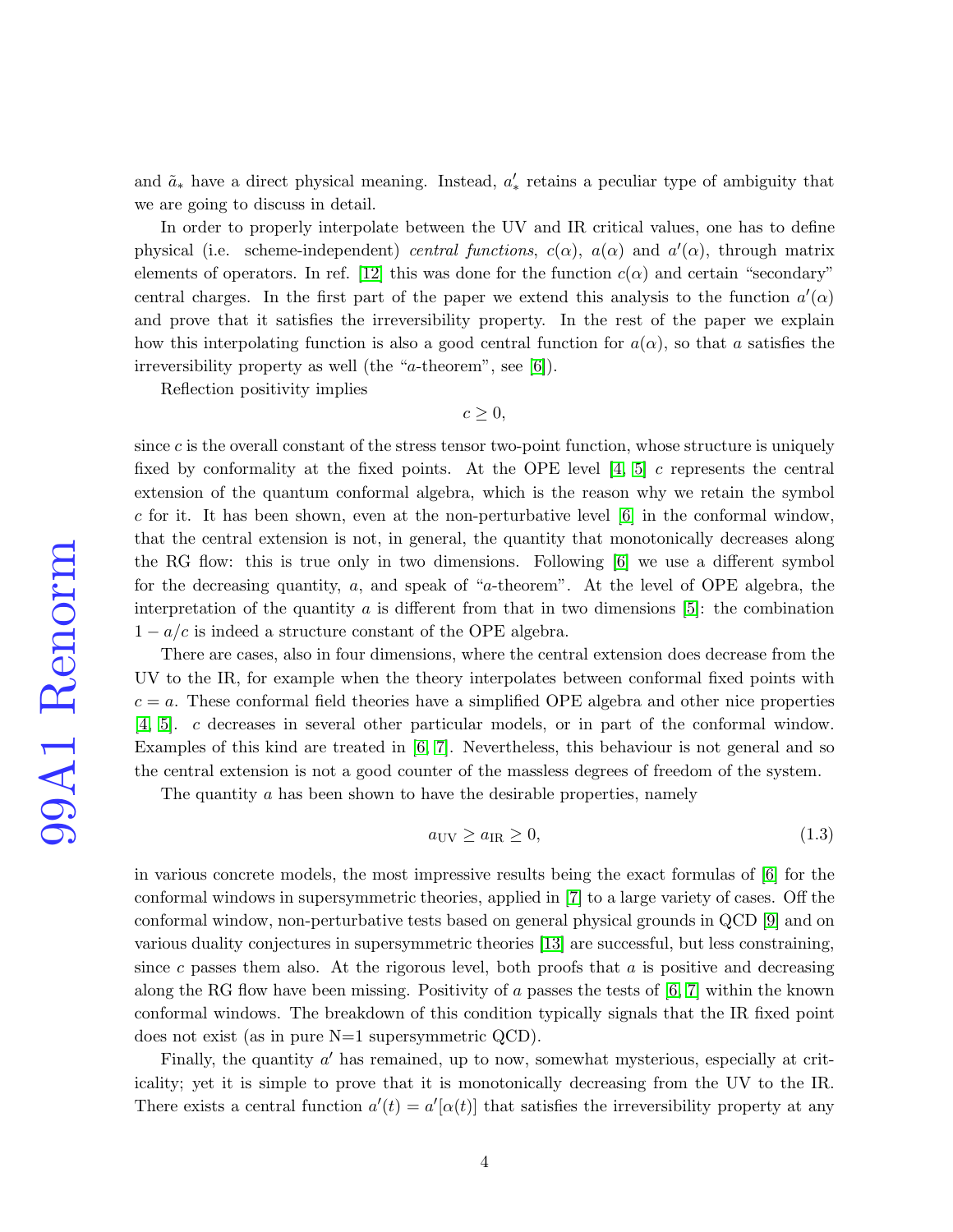and  $\tilde{a}_*$  have a direct physical meaning. Instead,  $a'_*$  retains a peculiar type of ambiguity that we are going to discuss in detail.

In order to properly interpolate between the UV and IR critical values, one has to define physical (i.e. scheme-independent) central functions,  $c(\alpha)$ ,  $a(\alpha)$  and  $a'(\alpha)$ , through matrix elements of operators. In ref. [\[12\]](#page-27-5) this was done for the function  $c(\alpha)$  and certain "secondary" central charges. In the first part of the paper we extend this analysis to the function  $a'(\alpha)$ and prove that it satisfies the irreversibility property. In the rest of the paper we explain how this interpolating function is also a good central function for  $a(\alpha)$ , so that a satisfies the irreversibility property as well (the "a-theorem", see [\[6\]](#page-26-5)).

Reflection positivity implies

 $c \geq 0$ ,

since  $c$  is the overall constant of the stress tensor two-point function, whose structure is uniquely fixed by conformality at the fixed points. At the OPE level  $[4, 5]$  $[4, 5]$  c represents the central extension of the quantum conformal algebra, which is the reason why we retain the symbol c for it. It has been shown, even at the non-perturbative level  $\lbrack 6 \rbrack$  in the conformal window, that the central extension is not, in general, the quantity that monotonically decreases along the RG flow: this is true only in two dimensions. Following [\[6\]](#page-26-5) we use a different symbol for the decreasing quantity, a, and speak of "a-theorem". At the level of OPE algebra, the interpretation of the quantity  $\alpha$  is different from that in two dimensions [\[5\]](#page-26-4): the combination  $1 - a/c$  is indeed a structure constant of the OPE algebra.

There are cases, also in four dimensions, where the central extension does decrease from the UV to the IR, for example when the theory interpolates between conformal fixed points with  $c = a$ . These conformal field theories have a simplified OPE algebra and other nice properties [\[4,](#page-26-3) [5\]](#page-26-4). c decreases in several other particular models, or in part of the conformal window. Examples of this kind are treated in [\[6,](#page-26-5) [7\]](#page-27-0). Nevertheless, this behaviour is not general and so the central extension is not a good counter of the massless degrees of freedom of the system.

The quantity a has been shown to have the desirable properties, namely

$$
a_{\rm UV} \ge a_{\rm IR} \ge 0,\tag{1.3}
$$

in various concrete models, the most impressive results being the exact formulas of [\[6\]](#page-26-5) for the conformal windows in supersymmetric theories, applied in [\[7\]](#page-27-0) to a large variety of cases. Off the conformal window, non-perturbative tests based on general physical grounds in QCD [\[9\]](#page-27-2) and on various duality conjectures in supersymmetric theories [\[13\]](#page-27-6) are successful, but less constraining, since c passes them also. At the rigorous level, both proofs that  $a$  is positive and decreasing along the RG flow have been missing. Positivity of  $a$  passes the tests of  $[6, 7]$  $[6, 7]$  within the known conformal windows. The breakdown of this condition typically signals that the IR fixed point does not exist (as in pure N=1 supersymmetric QCD).

Finally, the quantity  $a'$  has remained, up to now, somewhat mysterious, especially at criticality; yet it is simple to prove that it is monotonically decreasing from the UV to the IR. There exists a central function  $a'(t) = a'[\alpha(t)]$  that satisfies the irreversibility property at any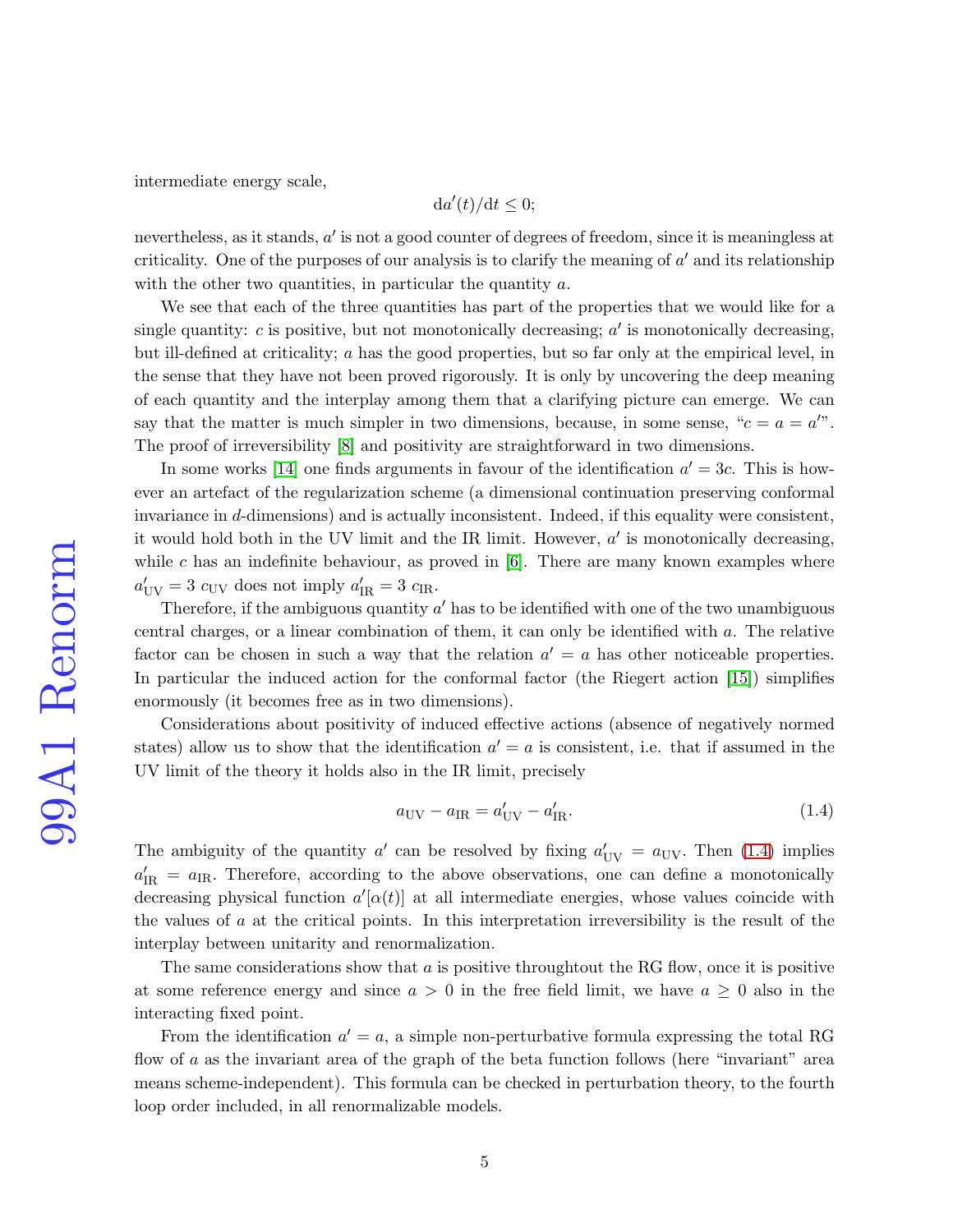intermediate energy scale,

$$
\mathrm{d}a'(t)/\mathrm{d}t\leq 0;
$$

nevertheless, as it stands,  $a'$  is not a good counter of degrees of freedom, since it is meaningless at criticality. One of the purposes of our analysis is to clarify the meaning of  $a'$  and its relationship with the other two quantities, in particular the quantity  $a$ .

We see that each of the three quantities has part of the properties that we would like for a single quantity:  $c$  is positive, but not monotonically decreasing;  $a'$  is monotonically decreasing, but ill-defined at criticality; a has the good properties, but so far only at the empirical level, in the sense that they have not been proved rigorously. It is only by uncovering the deep meaning of each quantity and the interplay among them that a clarifying picture can emerge. We can say that the matter is much simpler in two dimensions, because, in some sense, " $c = a = a$ ". The proof of irreversibility [\[8\]](#page-27-1) and positivity are straightforward in two dimensions.

In some works [\[14\]](#page-27-7) one finds arguments in favour of the identification  $a' = 3c$ . This is however an artefact of the regularization scheme (a dimensional continuation preserving conformal invariance in d-dimensions) and is actually inconsistent. Indeed, if this equality were consistent, it would hold both in the UV limit and the IR limit. However,  $a'$  is monotonically decreasing, while c has an indefinite behaviour, as proved in  $[6]$ . There are many known examples where  $a'_{\text{UV}} = 3 c_{\text{UV}}$  does not imply  $a'_{\text{IR}} = 3 c_{\text{IR}}$ .

Therefore, if the ambiguous quantity  $a'$  has to be identified with one of the two unambiguous central charges, or a linear combination of them, it can only be identified with a. The relative factor can be chosen in such a way that the relation  $a' = a$  has other noticeable properties. In particular the induced action for the conformal factor (the Riegert action [\[15\]](#page-27-8)) simplifies enormously (it becomes free as in two dimensions).

Considerations about positivity of induced effective actions (absence of negatively normed states) allow us to show that the identification  $a' = a$  is consistent, i.e. that if assumed in the UV limit of the theory it holds also in the IR limit, precisely

<span id="page-4-0"></span>
$$
a_{\rm UV} - a_{\rm IR} = a'_{\rm UV} - a'_{\rm IR}.\tag{1.4}
$$

The ambiguity of the quantity  $a'$  can be resolved by fixing  $a'_{UV} = a_{UV}$ . Then [\(1.4\)](#page-4-0) implies  $a'_{\rm IR} = a_{\rm IR}$ . Therefore, according to the above observations, one can define a monotonically decreasing physical function  $a'[\alpha(t)]$  at all intermediate energies, whose values coincide with the values of a at the critical points. In this interpretation irreversibility is the result of the interplay between unitarity and renormalization.

The same considerations show that  $a$  is positive throughtout the RG flow, once it is positive at some reference energy and since  $a > 0$  in the free field limit, we have  $a \geq 0$  also in the interacting fixed point.

From the identification  $a' = a$ , a simple non-perturbative formula expressing the total RG flow of a as the invariant area of the graph of the beta function follows (here "invariant" area means scheme-independent). This formula can be checked in perturbation theory, to the fourth loop order included, in all renormalizable models.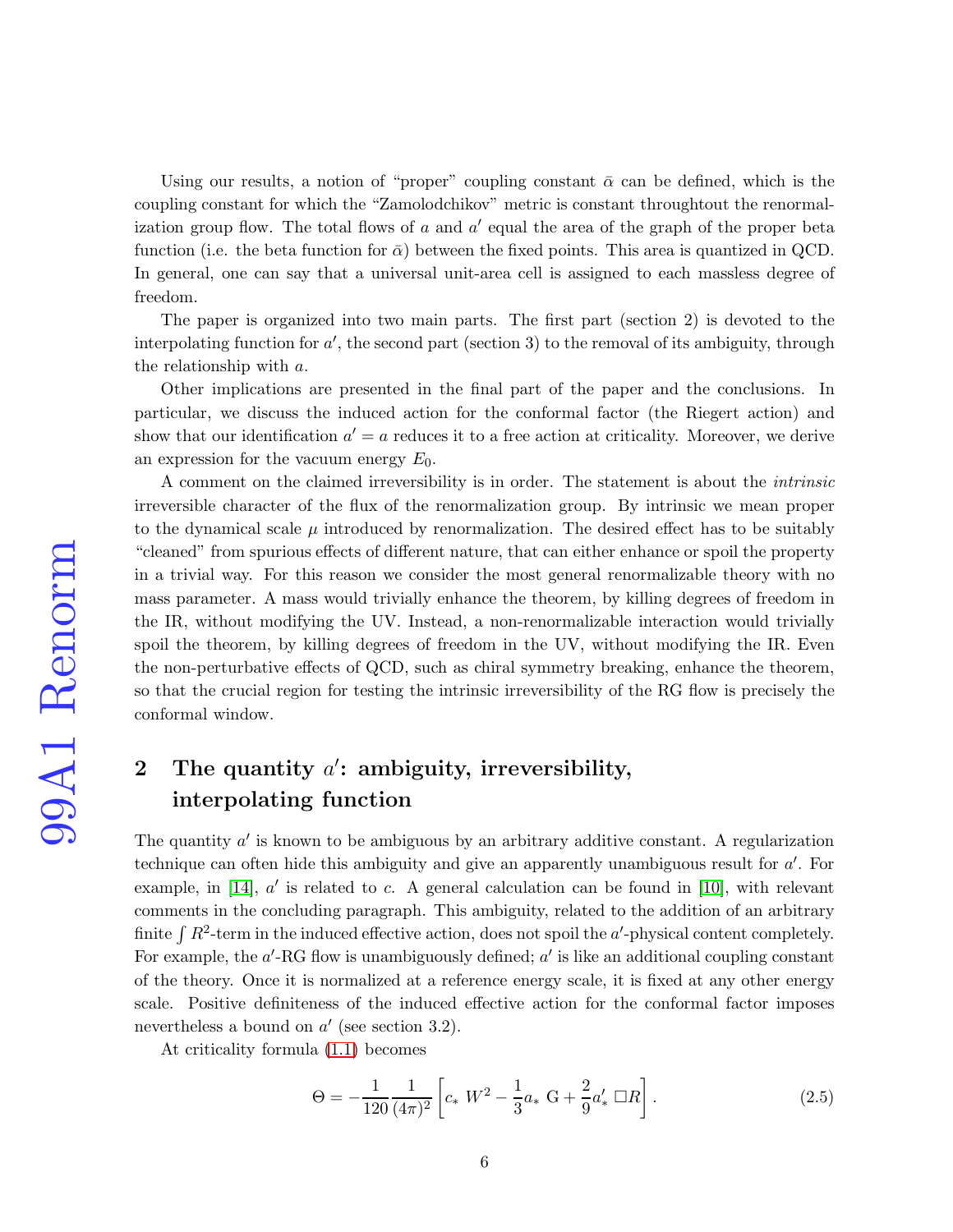Using our results, a notion of "proper" coupling constant  $\bar{\alpha}$  can be defined, which is the coupling constant for which the "Zamolodchikov" metric is constant throughtout the renormalization group flow. The total flows of  $a$  and  $a'$  equal the area of the graph of the proper beta function (i.e. the beta function for  $\bar{\alpha}$ ) between the fixed points. This area is quantized in QCD. In general, one can say that a universal unit-area cell is assigned to each massless degree of freedom.

The paper is organized into two main parts. The first part (section 2) is devoted to the interpolating function for  $a'$ , the second part (section 3) to the removal of its ambiguity, through the relationship with a.

Other implications are presented in the final part of the paper and the conclusions. In particular, we discuss the induced action for the conformal factor (the Riegert action) and show that our identification  $a' = a$  reduces it to a free action at criticality. Moreover, we derive an expression for the vacuum energy  $E_0$ .

A comment on the claimed irreversibility is in order. The statement is about the intrinsic irreversible character of the flux of the renormalization group. By intrinsic we mean proper to the dynamical scale  $\mu$  introduced by renormalization. The desired effect has to be suitably "cleaned" from spurious effects of different nature, that can either enhance or spoil the property in a trivial way. For this reason we consider the most general renormalizable theory with no mass parameter. A mass would trivially enhance the theorem, by killing degrees of freedom in the IR, without modifying the UV. Instead, a non-renormalizable interaction would trivially spoil the theorem, by killing degrees of freedom in the UV, without modifying the IR. Even the non-perturbative effects of QCD, such as chiral symmetry breaking, enhance the theorem, so that the crucial region for testing the intrinsic irreversibility of the RG flow is precisely the conformal window.

# 2 The quantity  $a'$ : ambiguity, irreversibility, interpolating function

The quantity  $a'$  is known to be ambiguous by an arbitrary additive constant. A regularization technique can often hide this ambiguity and give an apparently unambiguous result for  $a'$ . For example, in [\[14\]](#page-27-7),  $a'$  is related to c. A general calculation can be found in [\[10\]](#page-27-3), with relevant comments in the concluding paragraph. This ambiguity, related to the addition of an arbitrary finite  $\int R^2$ -term in the induced effective action, does not spoil the a'-physical content completely. For example, the  $a'$ -RG flow is unambiguously defined;  $a'$  is like an additional coupling constant of the theory. Once it is normalized at a reference energy scale, it is fixed at any other energy scale. Positive definiteness of the induced effective action for the conformal factor imposes nevertheless a bound on  $a'$  (see section 3.2).

At criticality formula [\(1.1\)](#page-2-0) becomes

<span id="page-5-0"></span>
$$
\Theta = -\frac{1}{120} \frac{1}{(4\pi)^2} \left[ c_* W^2 - \frac{1}{3} a_* G + \frac{2}{9} a'_* \Box R \right].
$$
 (2.5)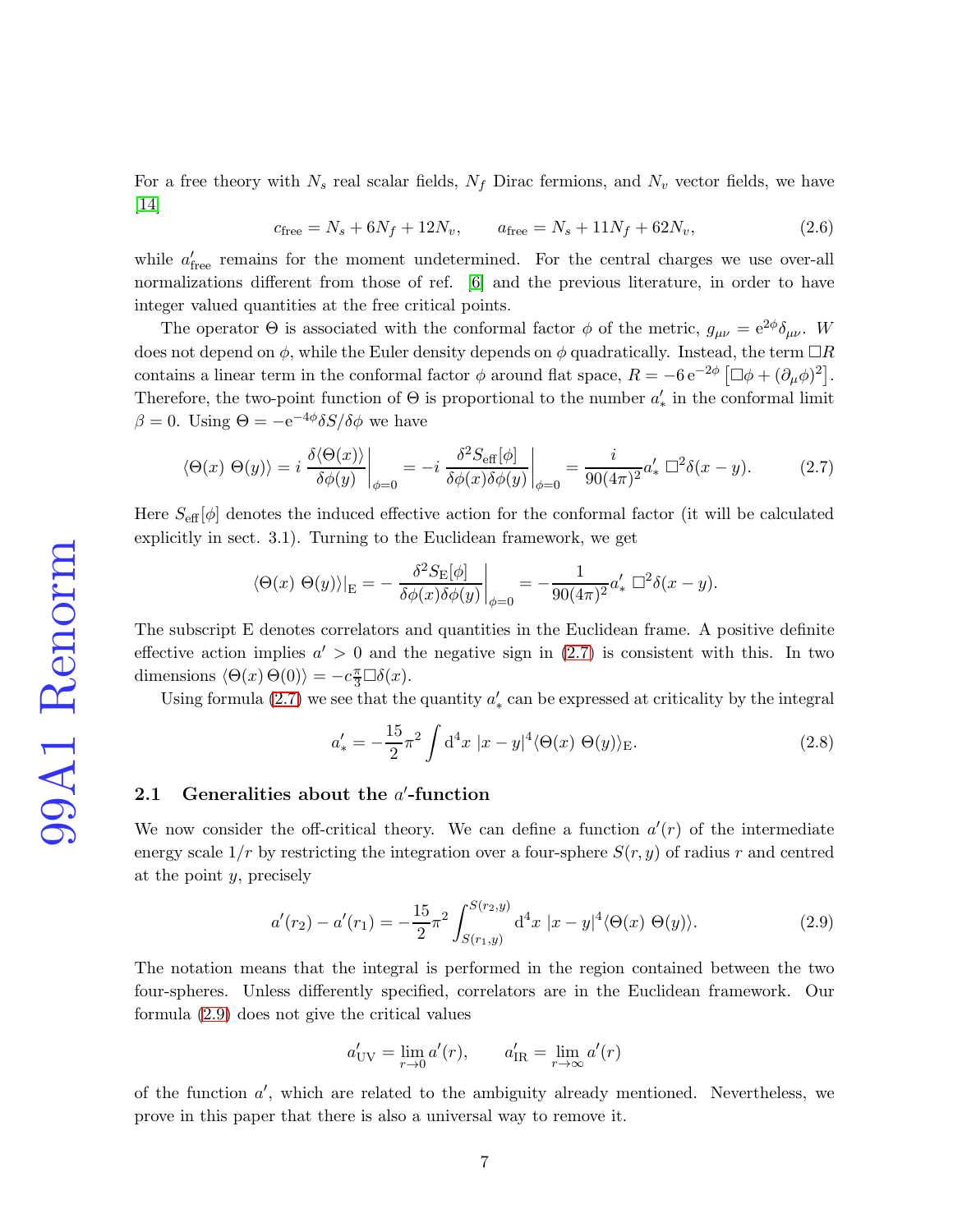For a free theory with  $N_s$  real scalar fields,  $N_f$  Dirac fermions, and  $N_v$  vector fields, we have [\[14\]](#page-27-7)

$$
c_{\text{free}} = N_s + 6N_f + 12N_v, \qquad a_{\text{free}} = N_s + 11N_f + 62N_v, \tag{2.6}
$$

while  $a'_{\text{free}}$  remains for the moment undetermined. For the central charges we use over-all normalizations different from those of ref. [\[6\]](#page-26-5) and the previous literature, in order to have integer valued quantities at the free critical points.

The operator  $\Theta$  is associated with the conformal factor  $\phi$  of the metric,  $g_{\mu\nu} = e^{2\phi} \delta_{\mu\nu}$ . W does not depend on  $\phi$ , while the Euler density depends on  $\phi$  quadratically. Instead, the term  $\Box R$ contains a linear term in the conformal factor  $\phi$  around flat space,  $R = -6 e^{-2\phi} [\Box \phi + (\partial_{\mu} \phi)^2]$ . Therefore, the two-point function of  $\Theta$  is proportional to the number  $a'_*$  in the conformal limit  $\beta = 0$ . Using  $\Theta = -e^{-4\phi} \delta S / \delta \phi$  we have

<span id="page-6-0"></span>
$$
\langle \Theta(x) \; \Theta(y) \rangle = i \left. \frac{\delta \langle \Theta(x) \rangle}{\delta \phi(y)} \right|_{\phi=0} = -i \left. \frac{\delta^2 S_{\text{eff}}[\phi]}{\delta \phi(x) \delta \phi(y)} \right|_{\phi=0} = \frac{i}{90(4\pi)^2} a'_* \; \Box^2 \delta(x-y). \tag{2.7}
$$

Here  $S_{\text{eff}}[\phi]$  denotes the induced effective action for the conformal factor (it will be calculated explicitly in sect. 3.1). Turning to the Euclidean framework, we get

$$
\langle \Theta(x) \ \Theta(y) \rangle|_{\mathcal{E}} = -\frac{\delta^2 S_{\mathcal{E}}[\phi]}{\delta \phi(x) \delta \phi(y)} \bigg|_{\phi=0} = -\frac{1}{90(4\pi)^2} a'_* \ \Box^2 \delta(x-y).
$$

The subscript E denotes correlators and quantities in the Euclidean frame. A positive definite effective action implies  $a' > 0$  and the negative sign in  $(2.7)$  is consistent with this. In two dimensions  $\langle \Theta(x) \Theta(0) \rangle = -c \frac{\pi}{3} \Box \delta(x)$ .

Using formula  $(2.7)$  we see that the quantity  $a'_*$  can be expressed at criticality by the integral

<span id="page-6-2"></span>
$$
a'_{*} = -\frac{15}{2}\pi^{2} \int d^{4}x \ |x - y|^{4} \langle \Theta(x) \ \Theta(y) \rangle_{\mathcal{E}}.
$$
 (2.8)

# 2.1 Generalities about the  $a'$ -function

We now consider the off-critical theory. We can define a function  $a'(r)$  of the intermediate energy scale  $1/r$  by restricting the integration over a four-sphere  $S(r, y)$  of radius r and centred at the point  $y$ , precisely

<span id="page-6-1"></span>
$$
a'(r_2) - a'(r_1) = -\frac{15}{2}\pi^2 \int_{S(r_1,y)}^{S(r_2,y)} d^4x \ |x - y|^4 \langle \Theta(x) \ \Theta(y) \rangle.
$$
 (2.9)

The notation means that the integral is performed in the region contained between the two four-spheres. Unless differently specified, correlators are in the Euclidean framework. Our formula [\(2.9\)](#page-6-1) does not give the critical values

$$
a'_{\rm UV} = \lim_{r \to 0} a'(r), \qquad a'_{\rm IR} = \lim_{r \to \infty} a'(r)
$$

of the function  $a'$ , which are related to the ambiguity already mentioned. Nevertheless, we prove in this paper that there is also a universal way to remove it.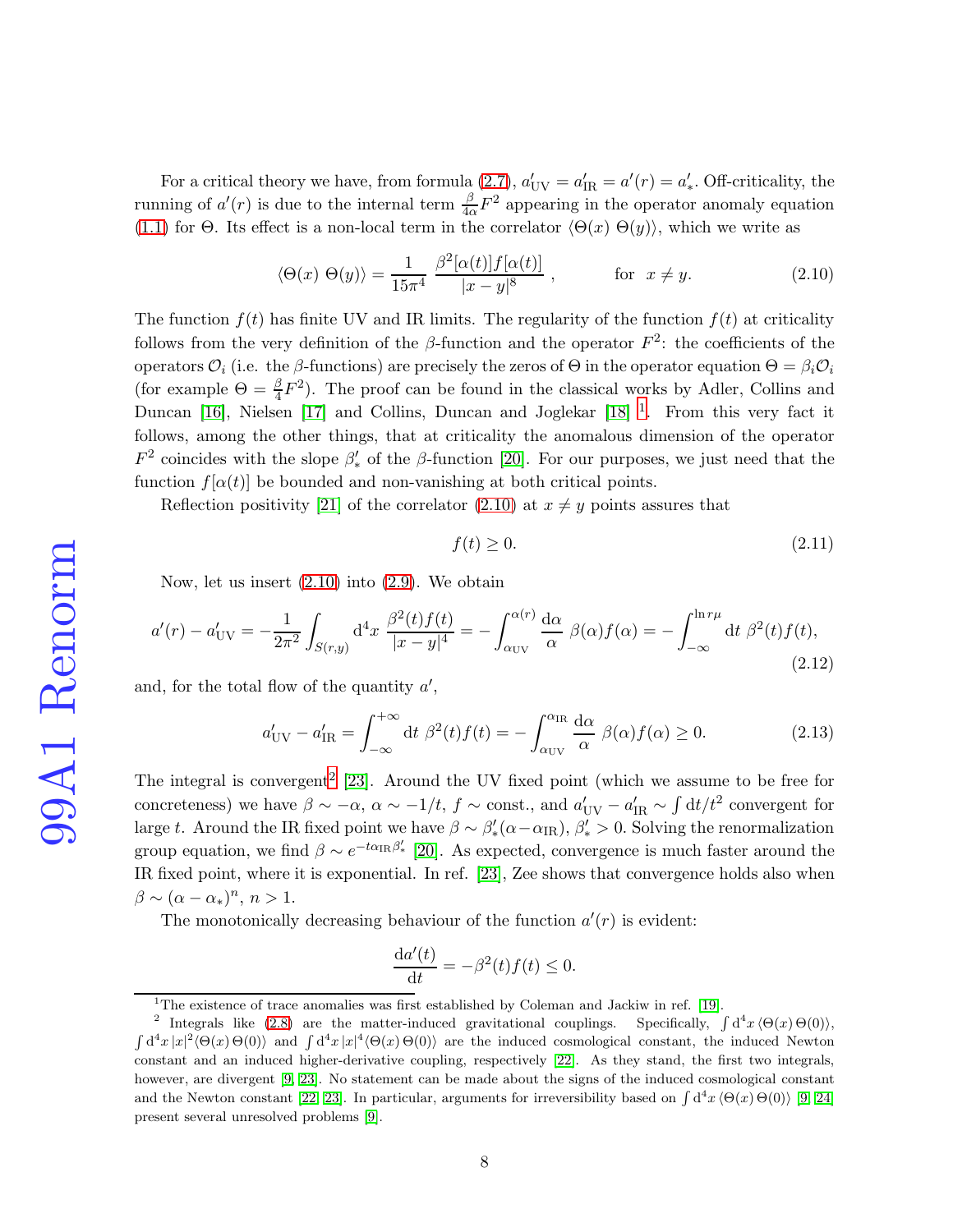For a critical theory we have, from formula [\(2.7\)](#page-6-0),  $a'_{UV} = a'_{IR} = a'(r) = a'_{*}$ . Off-criticality, the *FOR a critical direct*, not acrossible internal term  $\frac{\beta}{4\alpha}F^2$  appearing in the operator anomaly equation [\(1.1\)](#page-2-0) for Θ. Its effect is a non-local term in the correlator  $\langle \Theta(x) \Theta(y) \rangle$ , which we write as

<span id="page-7-1"></span>
$$
\langle \Theta(x) \ \Theta(y) \rangle = \frac{1}{15\pi^4} \ \frac{\beta^2 [\alpha(t)] f [\alpha(t)]}{|x - y|^8} \ , \qquad \text{for } x \neq y. \tag{2.10}
$$

The function  $f(t)$  has finite UV and IR limits. The regularity of the function  $f(t)$  at criticality follows from the very definition of the  $\beta$ -function and the operator  $F^2$ : the coefficients of the operators  $\mathcal{O}_i$  (i.e. the β-functions) are precisely the zeros of  $\Theta$  in the operator equation  $\Theta = \beta_i \mathcal{O}_i$ (for example  $\Theta = \frac{\beta}{4} F^2$ ). The proof can be found in the classical works by Adler, Collins and Duncan [\[16\]](#page-27-9), Nielsen [\[17\]](#page-27-10) and Collins, Duncan and Joglekar [\[18\]](#page-27-11) <sup>[1](#page-7-0)</sup>. From this very fact it follows, among the other things, that at criticality the anomalous dimension of the operator  $F^2$  coincides with the slope  $\beta'_*$  of the  $\beta$ -function [\[20\]](#page-27-12). For our purposes, we just need that the function  $f[\alpha(t)]$  be bounded and non-vanishing at both critical points.

Reflection positivity [\[21\]](#page-27-13) of the correlator [\(2.10\)](#page-7-1) at  $x \neq y$  points assures that

$$
f(t) \ge 0. \tag{2.11}
$$

Now, let us insert [\(2.10\)](#page-7-1) into [\(2.9\)](#page-6-1). We obtain

<span id="page-7-4"></span>
$$
a'(r) - a'_{\rm UV} = -\frac{1}{2\pi^2} \int_{S(r,y)} d^4x \frac{\beta^2(t)f(t)}{|x-y|^4} = -\int_{\alpha_{\rm UV}}^{\alpha(r)} \frac{d\alpha}{\alpha} \beta(\alpha)f(\alpha) = -\int_{-\infty}^{\ln r\mu} dt \beta^2(t)f(t),\tag{2.12}
$$

and, for the total flow of the quantity  $a'$ ,

<span id="page-7-3"></span>
$$
a'_{\rm UV} - a'_{\rm IR} = \int_{-\infty}^{+\infty} dt \ \beta^2(t) f(t) = -\int_{\alpha_{\rm UV}}^{\alpha_{\rm IR}} \frac{d\alpha}{\alpha} \ \beta(\alpha) f(\alpha) \ge 0. \tag{2.13}
$$

The integral is convergent<sup>[2](#page-7-2)</sup> [\[23\]](#page-28-0). Around the UV fixed point (which we assume to be free for concreteness) we have  $\beta \sim -\alpha$ ,  $\alpha \sim -1/t$ ,  $f \sim$  const., and  $a'_{UV} - a'_{IR} \sim \int dt/t^2$  convergent for large t. Around the IR fixed point we have  $\beta \sim \beta'_{*} (\alpha - \alpha_{IR}), \beta'_{*} > 0$ . Solving the renormalization group equation, we find  $\beta \sim e^{-t\alpha_{\text{IR}}\beta'_{*}}$  [\[20\]](#page-27-12). As expected, convergence is much faster around the IR fixed point, where it is exponential. In ref. [\[23\]](#page-28-0), Zee shows that convergence holds also when  $\beta \sim (\alpha - \alpha_*)^n, n > 1.$ 

The monotonically decreasing behaviour of the function  $a'(r)$  is evident:

$$
\frac{\mathrm{d}a'(t)}{\mathrm{d}t} = -\beta^2(t)f(t) \le 0.
$$

<span id="page-7-0"></span><sup>&</sup>lt;sup>1</sup>The existence of trace anomalies was first established by Coleman and Jackiw in ref. [\[19\]](#page-27-14).

<span id="page-7-2"></span><sup>&</sup>lt;sup>2</sup> Integrals like [\(2.8\)](#page-6-2) are the matter-induced gravitational couplings. Specifically,  $\int d^4x \langle \Theta(x) \Theta(0) \rangle$ ,  $\int d^4x |x|^2 \langle \Theta(x) \Theta(0) \rangle$  and  $\int d^4x |x|^4 \langle \Theta(x) \Theta(0) \rangle$  are the induced cosmological constant, the induced Newton constant and an induced higher-derivative coupling, respectively [\[22\]](#page-28-1). As they stand, the first two integrals, however, are divergent [\[9,](#page-27-2) [23\]](#page-28-0). No statement can be made about the signs of the induced cosmological constant and the Newton constant [\[22,](#page-28-1) [23\]](#page-28-0). In particular, arguments for irreversibility based on  $\int d^4x \langle \Theta(x) \Theta(0) \rangle$  [\[9,](#page-27-2) [24\]](#page-28-2) present several unresolved problems [\[9\]](#page-27-2).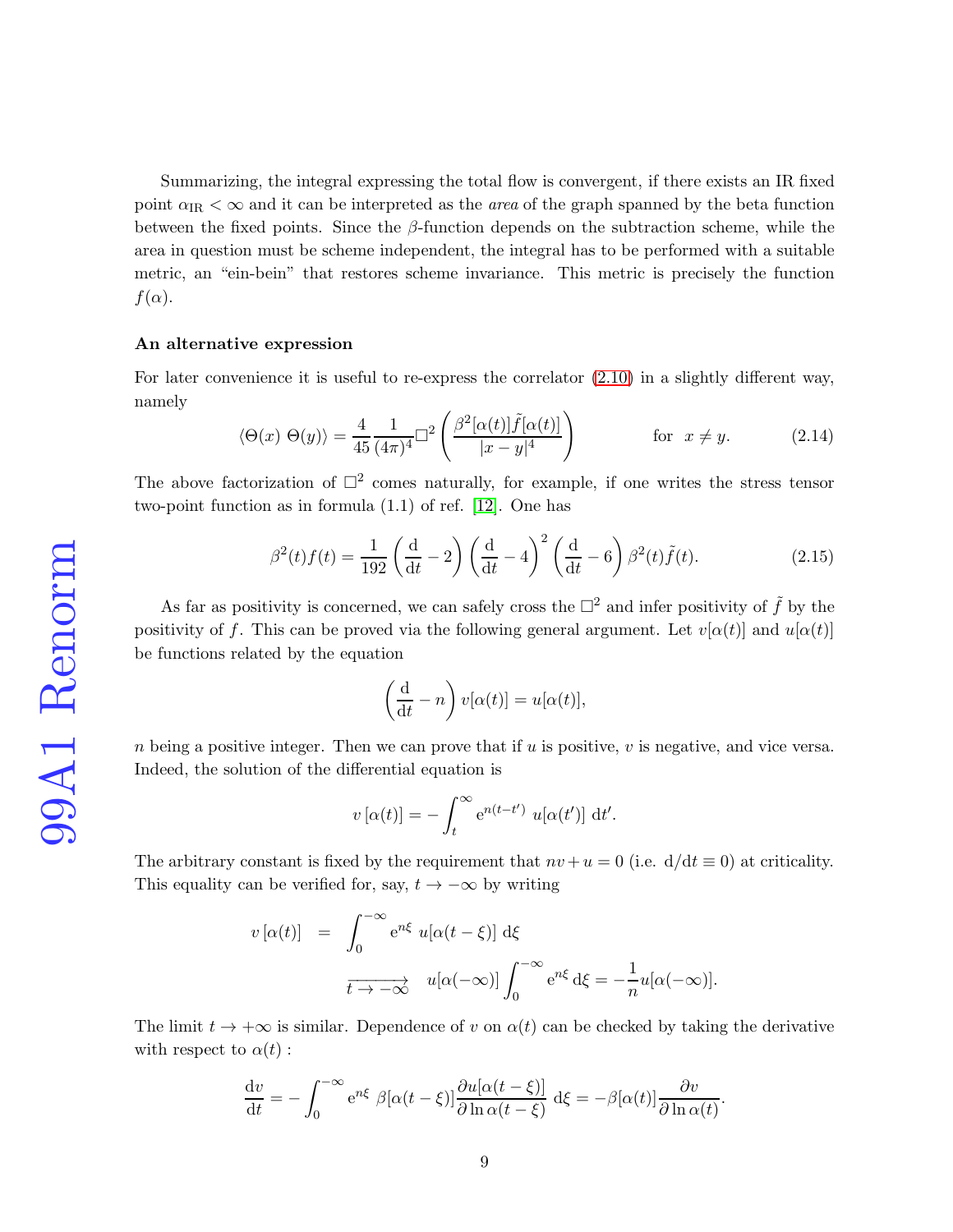Summarizing, the integral expressing the total flow is convergent, if there exists an IR fixed point  $\alpha_{\text{IR}} < \infty$  and it can be interpreted as the *area* of the graph spanned by the beta function between the fixed points. Since the  $\beta$ -function depends on the subtraction scheme, while the area in question must be scheme independent, the integral has to be performed with a suitable metric, an "ein-bein" that restores scheme invariance. This metric is precisely the function  $f(\alpha)$ .

#### An alternative expression

For later convenience it is useful to re-express the correlator [\(2.10\)](#page-7-1) in a slightly different way, namely

<span id="page-8-0"></span>
$$
\langle \Theta(x) \ \Theta(y) \rangle = \frac{4}{45} \frac{1}{(4\pi)^4} \Box^2 \left( \frac{\beta^2 [\alpha(t)] \tilde{f}[\alpha(t)]}{|x - y|^4} \right) \qquad \text{for } x \neq y. \tag{2.14}
$$

The above factorization of  $\Box^2$  comes naturally, for example, if one writes the stress tensor two-point function as in formula (1.1) of ref. [\[12\]](#page-27-5). One has

<span id="page-8-1"></span>
$$
\beta^2(t)f(t) = \frac{1}{192} \left(\frac{d}{dt} - 2\right) \left(\frac{d}{dt} - 4\right)^2 \left(\frac{d}{dt} - 6\right) \beta^2(t)\tilde{f}(t). \tag{2.15}
$$

As far as positivity is concerned, we can safely cross the  $\Box^2$  and infer positivity of  $\tilde{f}$  by the positivity of f. This can be proved via the following general argument. Let  $v[\alpha(t)]$  and  $u[\alpha(t)]$ be functions related by the equation

$$
\left(\frac{\mathrm{d}}{\mathrm{d}t} - n\right)v[\alpha(t)] = u[\alpha(t)],
$$

n being a positive integer. Then we can prove that if u is positive, v is negative, and vice versa. Indeed, the solution of the differential equation is

$$
v[\alpha(t)] = -\int_t^{\infty} e^{n(t-t')} u[\alpha(t')] dt'.
$$

The arbitrary constant is fixed by the requirement that  $nv + u = 0$  (i.e.  $d/dt \equiv 0$ ) at criticality. This equality can be verified for, say,  $t \to -\infty$  by writing

$$
v[\alpha(t)] = \int_0^{-\infty} e^{n\xi} u[\alpha(t-\xi)] d\xi
$$

$$
\frac{1}{t \to -\infty} u[\alpha(-\infty)] \int_0^{-\infty} e^{n\xi} d\xi = -\frac{1}{n} u[\alpha(-\infty)].
$$

The limit  $t \to +\infty$  is similar. Dependence of v on  $\alpha(t)$  can be checked by taking the derivative with respect to  $\alpha(t)$ :

$$
\frac{dv}{dt} = -\int_0^{-\infty} e^{n\xi} \beta[\alpha(t-\xi)] \frac{\partial u[\alpha(t-\xi)]}{\partial \ln \alpha(t-\xi)} d\xi = -\beta[\alpha(t)] \frac{\partial v}{\partial \ln \alpha(t)}
$$

.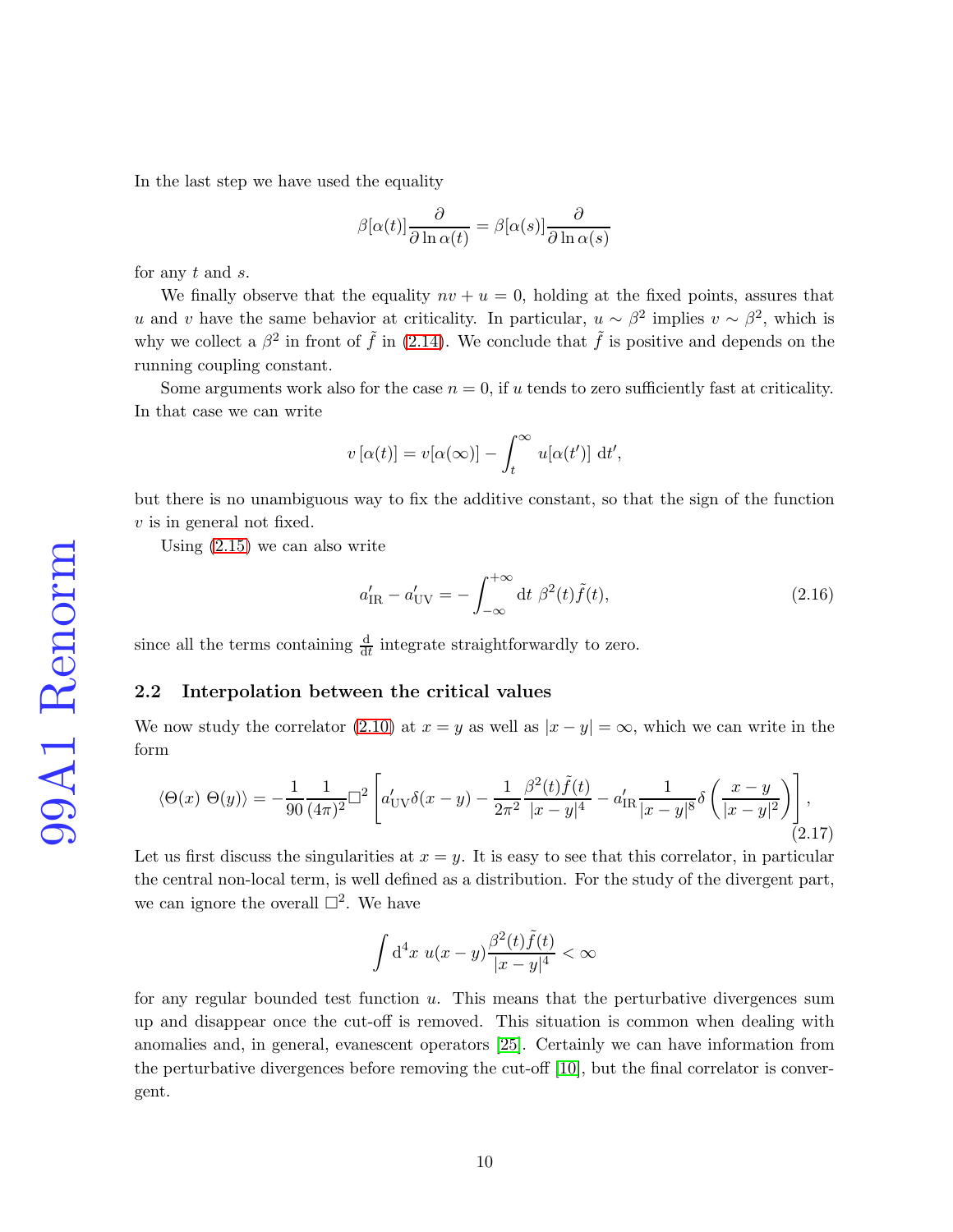In the last step we have used the equality

$$
\beta[\alpha(t)]\frac{\partial}{\partial \ln \alpha(t)} = \beta[\alpha(s)]\frac{\partial}{\partial \ln \alpha(s)}
$$

for any  $t$  and  $s$ .

We finally observe that the equality  $nv + u = 0$ , holding at the fixed points, assures that u and v have the same behavior at criticality. In particular,  $u \sim \beta^2$  implies  $v \sim \beta^2$ , which is why we collect a  $\beta^2$  in front of  $\tilde{f}$  in [\(2.14\)](#page-8-0). We conclude that  $\tilde{f}$  is positive and depends on the running coupling constant.

Some arguments work also for the case  $n = 0$ , if u tends to zero sufficiently fast at criticality. In that case we can write

$$
v[\alpha(t)] = v[\alpha(\infty)] - \int_t^{\infty} u[\alpha(t')] dt',
$$

but there is no unambiguous way to fix the additive constant, so that the sign of the function v is in general not fixed.

Using [\(2.15\)](#page-8-1) we can also write

<span id="page-9-1"></span>
$$
a'_{\rm IR} - a'_{\rm UV} = -\int_{-\infty}^{+\infty} dt \ \beta^2(t)\tilde{f}(t),\tag{2.16}
$$

since all the terms containing  $\frac{d}{dt}$  integrate straightforwardly to zero.

## 2.2 Interpolation between the critical values

We now study the correlator [\(2.10\)](#page-7-1) at  $x = y$  as well as  $|x - y| = \infty$ , which we can write in the form

<span id="page-9-0"></span>
$$
\langle \Theta(x) \; \Theta(y) \rangle = -\frac{1}{90} \frac{1}{(4\pi)^2} \Box^2 \left[ a'_{UV} \delta(x-y) - \frac{1}{2\pi^2} \frac{\beta^2(t)\tilde{f}(t)}{|x-y|^4} - a'_{IR} \frac{1}{|x-y|^8} \delta\left(\frac{x-y}{|x-y|^2}\right) \right],
$$
\n(2.17)

Let us first discuss the singularities at  $x = y$ . It is easy to see that this correlator, in particular the central non-local term, is well defined as a distribution. For the study of the divergent part, we can ignore the overall  $\Box^2$ . We have

$$
\int d^4x \ u(x-y) \frac{\beta^2(t)\tilde{f}(t)}{|x-y|^4} < \infty
$$

for any regular bounded test function  $u$ . This means that the perturbative divergences sum up and disappear once the cut-off is removed. This situation is common when dealing with anomalies and, in general, evanescent operators [\[25\]](#page-28-3). Certainly we can have information from the perturbative divergences before removing the cut-off [\[10\]](#page-27-3), but the final correlator is convergent.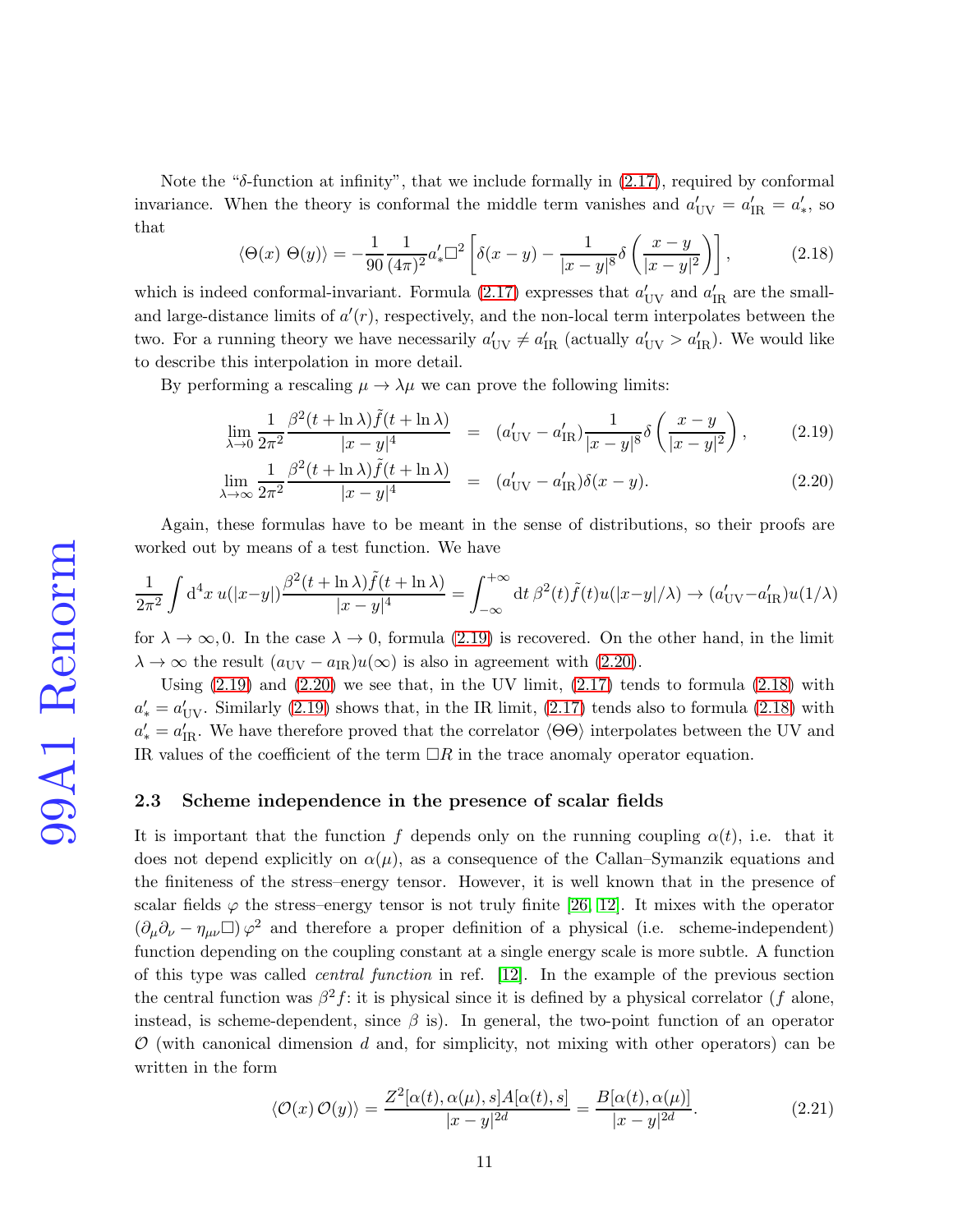Note the " $\delta$ -function at infinity", that we include formally in [\(2.17\)](#page-9-0), required by conformal invariance. When the theory is conformal the middle term vanishes and  $a'_{UV} = a'_{IR} = a'_{*}$ , so that

<span id="page-10-1"></span>
$$
\langle \Theta(x) \; \Theta(y) \rangle = -\frac{1}{90} \frac{1}{(4\pi)^2} a'_* \square^2 \left[ \delta(x-y) - \frac{1}{|x-y|^8} \delta\left(\frac{x-y}{|x-y|^2}\right) \right],\tag{2.18}
$$

which is indeed conformal-invariant. Formula [\(2.17\)](#page-9-0) expresses that  $a'_{UV}$  and  $a'_{IR}$  are the smalland large-distance limits of  $a'(r)$ , respectively, and the non-local term interpolates between the two. For a running theory we have necessarily  $a'_{UV} \neq a'_{IR}$  (actually  $a'_{UV} > a'_{IR}$ ). We would like to describe this interpolation in more detail.

By performing a rescaling  $\mu \to \lambda \mu$  we can prove the following limits:

<span id="page-10-0"></span>
$$
\lim_{\lambda \to 0} \frac{1}{2\pi^2} \frac{\beta^2 (t + \ln \lambda) \tilde{f}(t + \ln \lambda)}{|x - y|^4} = (a'_{\text{UV}} - a'_{\text{IR}}) \frac{1}{|x - y|^8} \delta\left(\frac{x - y}{|x - y|^2}\right), \tag{2.19}
$$

$$
\lim_{\lambda \to \infty} \frac{1}{2\pi^2} \frac{\beta^2 (t + \ln \lambda) \tilde{f}(t + \ln \lambda)}{|x - y|^4} = (a'_{\text{UV}} - a'_{\text{IR}}) \delta(x - y). \tag{2.20}
$$

Again, these formulas have to be meant in the sense of distributions, so their proofs are worked out by means of a test function. We have

$$
\frac{1}{2\pi^2} \int d^4x \, u(|x-y|) \frac{\beta^2(t+\ln\lambda)\tilde{f}(t+\ln\lambda)}{|x-y|^4} = \int_{-\infty}^{+\infty} dt \, \beta^2(t)\tilde{f}(t)u(|x-y|/\lambda) \to (a'_{\rm UV}-a'_{\rm IR})u(1/\lambda)
$$

for  $\lambda \to \infty, 0$ . In the case  $\lambda \to 0$ , formula [\(2.19\)](#page-10-0) is recovered. On the other hand, in the limit  $\lambda \to \infty$  the result  $(a_{\text{UV}} - a_{\text{IR}})u(\infty)$  is also in agreement with  $(2.20)$ .

Using  $(2.19)$  and  $(2.20)$  we see that, in the UV limit,  $(2.17)$  tends to formula  $(2.18)$  with  $a'_{\text{s}} = a'_{\text{UV}}$ . Similarly [\(2.19\)](#page-10-0) shows that, in the IR limit, [\(2.17\)](#page-9-0) tends also to formula [\(2.18\)](#page-10-1) with  $a'_{\rm s} = a'_{\rm IR}$ . We have therefore proved that the correlator  $\langle \Theta \Theta \rangle$  interpolates between the UV and IR values of the coefficient of the term  $\Box R$  in the trace anomaly operator equation.

### 2.3 Scheme independence in the presence of scalar fields

It is important that the function f depends only on the running coupling  $\alpha(t)$ , i.e. that it does not depend explicitly on  $\alpha(\mu)$ , as a consequence of the Callan–Symanzik equations and the finiteness of the stress–energy tensor. However, it is well known that in the presence of scalar fields  $\varphi$  the stress–energy tensor is not truly finite [\[26,](#page-28-4) [12\]](#page-27-5). It mixes with the operator  $(\partial_\mu \partial_\nu - \eta_{\mu\nu}) \varphi^2$  and therefore a proper definition of a physical (i.e. scheme-independent) function depending on the coupling constant at a single energy scale is more subtle. A function of this type was called central function in ref. [\[12\]](#page-27-5). In the example of the previous section the central function was  $\beta^2 f$ : it is physical since it is defined by a physical correlator (f alone, instead, is scheme-dependent, since  $\beta$  is). In general, the two-point function of an operator  $\mathcal{O}$  (with canonical dimension d and, for simplicity, not mixing with other operators) can be written in the form

<span id="page-10-2"></span>
$$
\langle \mathcal{O}(x)\,\mathcal{O}(y)\rangle = \frac{Z^2[\alpha(t),\alpha(\mu),s]A[\alpha(t),s]}{|x-y|^{2d}} = \frac{B[\alpha(t),\alpha(\mu)]}{|x-y|^{2d}}.
$$
\n(2.21)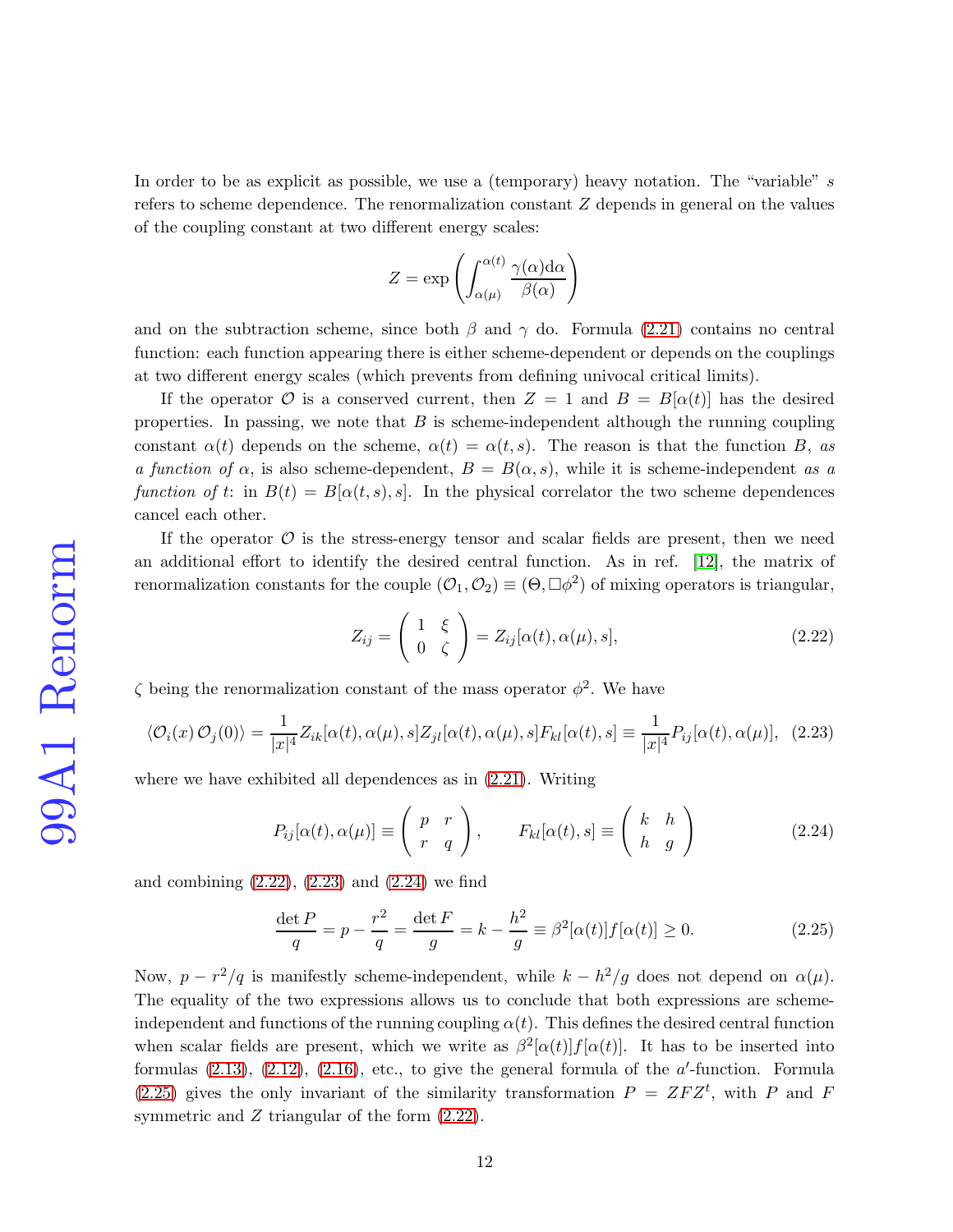In order to be as explicit as possible, we use a (temporary) heavy notation. The "variable" s refers to scheme dependence. The renormalization constant Z depends in general on the values of the coupling constant at two different energy scales:

$$
Z = \exp\left(\int_{\alpha(\mu)}^{\alpha(t)} \frac{\gamma(\alpha) \mathrm{d}\alpha}{\beta(\alpha)}\right)
$$

and on the subtraction scheme, since both  $\beta$  and  $\gamma$  do. Formula [\(2.21\)](#page-10-2) contains no central function: each function appearing there is either scheme-dependent or depends on the couplings at two different energy scales (which prevents from defining univocal critical limits).

If the operator  $\mathcal O$  is a conserved current, then  $Z = 1$  and  $B = B[\alpha(t)]$  has the desired properties. In passing, we note that  $B$  is scheme-independent although the running coupling constant  $\alpha(t)$  depends on the scheme,  $\alpha(t) = \alpha(t, s)$ . The reason is that the function B, as a function of  $\alpha$ , is also scheme-dependent,  $B = B(\alpha, s)$ , while it is scheme-independent as a function of t: in  $B(t) = B[\alpha(t, s), s]$ . In the physical correlator the two scheme dependences cancel each other.

If the operator  $\mathcal O$  is the stress-energy tensor and scalar fields are present, then we need an additional effort to identify the desired central function. As in ref. [\[12\]](#page-27-5), the matrix of renormalization constants for the couple  $(0, 0, 0) \equiv (0, \Box \phi^2)$  of mixing operators is triangular,

<span id="page-11-0"></span>
$$
Z_{ij} = \begin{pmatrix} 1 & \xi \\ 0 & \zeta \end{pmatrix} = Z_{ij}[\alpha(t), \alpha(\mu), s],
$$
 (2.22)

 $\zeta$  being the renormalization constant of the mass operator  $\phi^2$ . We have

<span id="page-11-1"></span>
$$
\langle \mathcal{O}_i(x)\,\mathcal{O}_j(0)\rangle = \frac{1}{|x|^4} Z_{ik}[\alpha(t), \alpha(\mu), s] Z_{jl}[\alpha(t), \alpha(\mu), s] F_{kl}[\alpha(t), s] \equiv \frac{1}{|x|^4} P_{ij}[\alpha(t), \alpha(\mu)], \tag{2.23}
$$

where we have exhibited all dependences as in [\(2.21\)](#page-10-2). Writing

<span id="page-11-2"></span>
$$
P_{ij}[\alpha(t), \alpha(\mu)] \equiv \begin{pmatrix} p & r \\ r & q \end{pmatrix}, \qquad F_{kl}[\alpha(t), s] \equiv \begin{pmatrix} k & h \\ h & g \end{pmatrix}
$$
 (2.24)

and combining  $(2.22)$ ,  $(2.23)$  and  $(2.24)$  we find

<span id="page-11-3"></span>
$$
\frac{\det P}{q} = p - \frac{r^2}{q} = \frac{\det F}{g} = k - \frac{h^2}{g} \equiv \beta^2 [\alpha(t)] f[\alpha(t)] \ge 0.
$$
 (2.25)

Now,  $p - r^2/q$  is manifestly scheme-independent, while  $k - h^2/g$  does not depend on  $\alpha(\mu)$ . The equality of the two expressions allows us to conclude that both expressions are schemeindependent and functions of the running coupling  $\alpha(t)$ . This defines the desired central function when scalar fields are present, which we write as  $\beta^2[\alpha(t)]f[\alpha(t)]$ . It has to be inserted into formulas  $(2.13)$ ,  $(2.12)$ ,  $(2.16)$ , etc., to give the general formula of the *a*'-function. Formula [\(2.25\)](#page-11-3) gives the only invariant of the similarity transformation  $P = ZFZ<sup>t</sup>$ , with P and F symmetric and Z triangular of the form  $(2.22)$ .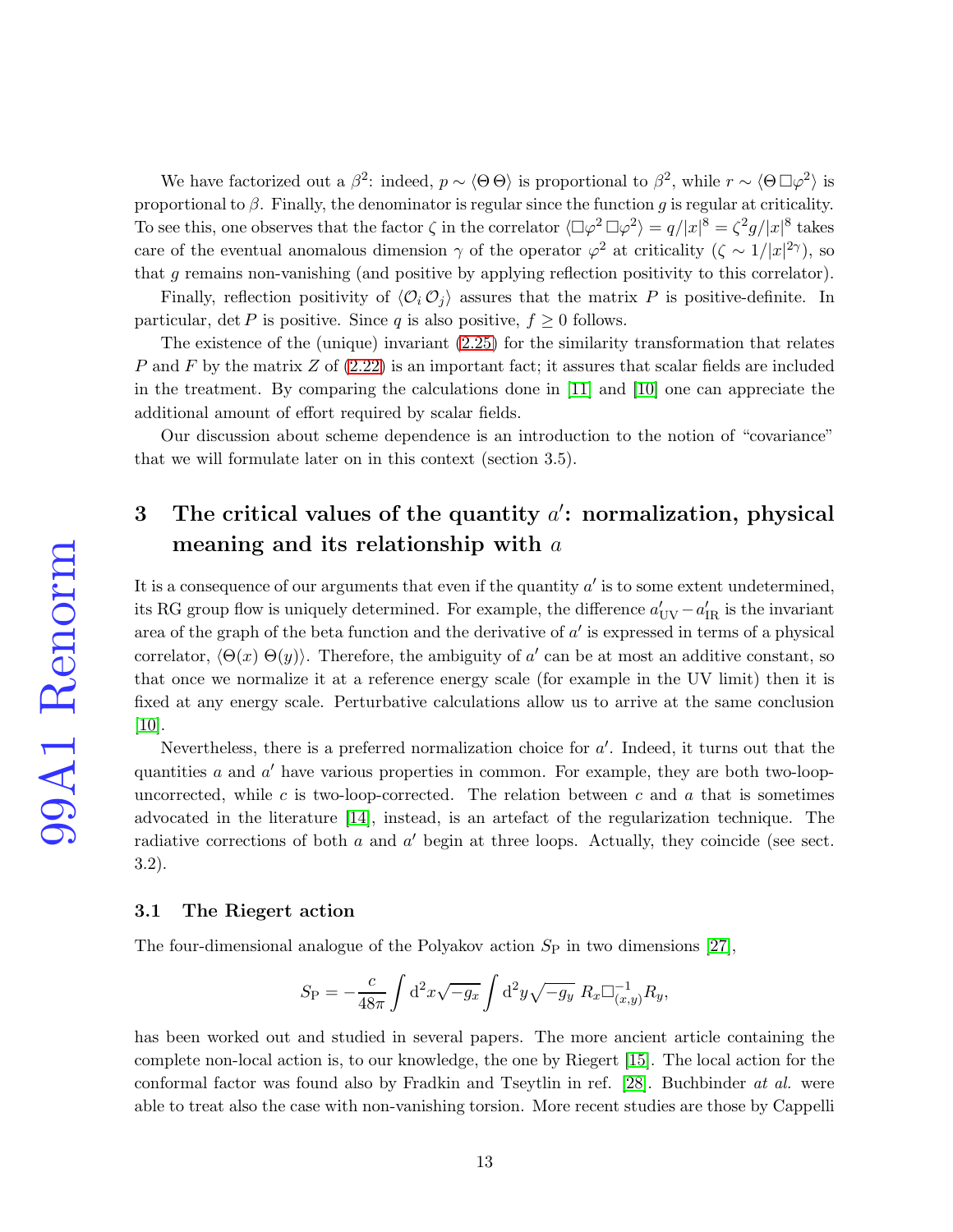We have factorized out a  $\beta^2$ : indeed,  $p \sim \langle \Theta \Theta \rangle$  is proportional to  $\beta^2$ , while  $r \sim \langle \Theta \Box \varphi^2 \rangle$  is proportional to  $\beta$ . Finally, the denominator is regular since the function g is regular at criticality. To see this, one observes that the factor  $\zeta$  in the correlator  $\langle \Box \varphi^2 \Box \varphi^2 \rangle = q/|x|^8 = \zeta^2 g/|x|^8$  takes care of the eventual anomalous dimension  $\gamma$  of the operator  $\varphi^2$  at criticality  $(\zeta \sim 1/|x|^{2\gamma})$ , so that g remains non-vanishing (and positive by applying reflection positivity to this correlator).

Finally, reflection positivity of  $\langle \mathcal{O}_i \mathcal{O}_j \rangle$  assures that the matrix P is positive-definite. In particular, det P is positive. Since q is also positive,  $f \geq 0$  follows.

The existence of the (unique) invariant [\(2.25\)](#page-11-3) for the similarity transformation that relates P and F by the matrix  $Z$  of  $(2.22)$  is an important fact; it assures that scalar fields are included in the treatment. By comparing the calculations done in [\[11\]](#page-27-4) and [\[10\]](#page-27-3) one can appreciate the additional amount of effort required by scalar fields.

Our discussion about scheme dependence is an introduction to the notion of "covariance" that we will formulate later on in this context (section 3.5).

# 3 The critical values of the quantity  $a'$ : normalization, physical meaning and its relationship with a

It is a consequence of our arguments that even if the quantity  $a'$  is to some extent undetermined, its RG group flow is uniquely determined. For example, the difference  $a'_{\rm UV} - a'_{\rm IR}$  is the invariant area of the graph of the beta function and the derivative of  $a'$  is expressed in terms of a physical correlator,  $\langle \Theta(x) \Theta(y) \rangle$ . Therefore, the ambiguity of a' can be at most an additive constant, so that once we normalize it at a reference energy scale (for example in the UV limit) then it is fixed at any energy scale. Perturbative calculations allow us to arrive at the same conclusion [\[10\]](#page-27-3).

Nevertheless, there is a preferred normalization choice for  $a'$ . Indeed, it turns out that the quantities  $a$  and  $a'$  have various properties in common. For example, they are both two-loopuncorrected, while c is two-loop-corrected. The relation between c and a that is sometimes advocated in the literature [\[14\]](#page-27-7), instead, is an artefact of the regularization technique. The radiative corrections of both  $a$  and  $a'$  begin at three loops. Actually, they coincide (see sect. 3.2).

#### 3.1 The Riegert action

The four-dimensional analogue of the Polyakov action  $S_P$  in two dimensions [\[27\]](#page-28-5),

$$
S_{\rm P} = -\frac{c}{48\pi} \int d^2x \sqrt{-g_x} \int d^2y \sqrt{-g_y} \ R_x \Box^{-1}_{(x,y)} R_y,
$$

has been worked out and studied in several papers. The more ancient article containing the complete non-local action is, to our knowledge, the one by Riegert [\[15\]](#page-27-8). The local action for the conformal factor was found also by Fradkin and Tseytlin in ref. [\[28\]](#page-28-6). Buchbinder at al. were able to treat also the case with non-vanishing torsion. More recent studies are those by Cappelli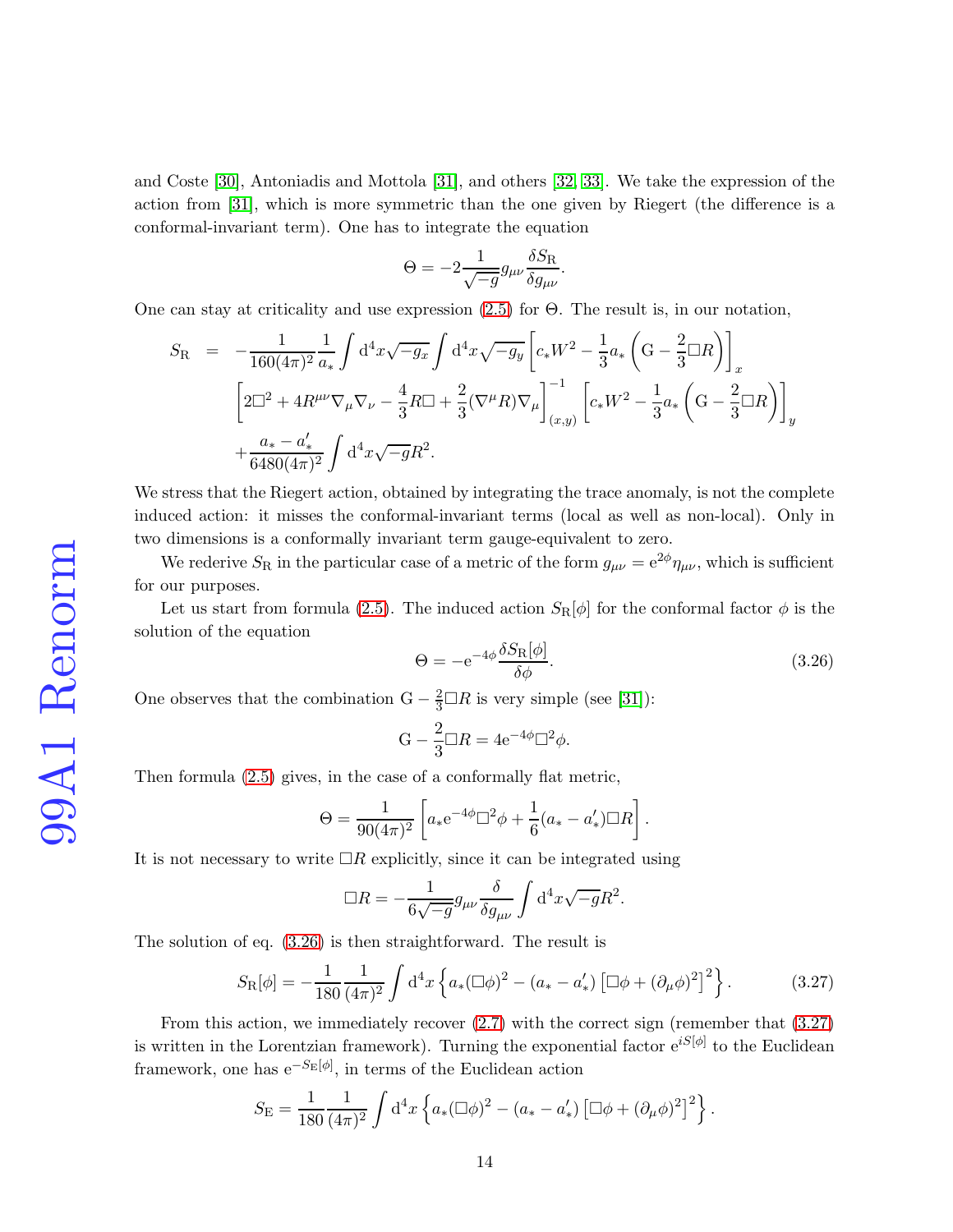and Coste [\[30\]](#page-28-7), Antoniadis and Mottola [\[31\]](#page-28-8), and others [\[32,](#page-28-9) [33\]](#page-28-10). We take the expression of the action from [\[31\]](#page-28-8), which is more symmetric than the one given by Riegert (the difference is a conformal-invariant term). One has to integrate the equation

$$
\Theta = -2 \frac{1}{\sqrt{-g}} g_{\mu\nu} \frac{\delta S_{\rm R}}{\delta g_{\mu\nu}}.
$$

One can stay at criticality and use expression [\(2.5\)](#page-5-0) for Θ. The result is, in our notation,

$$
S_{\rm R} = -\frac{1}{160(4\pi)^2} \frac{1}{a_*} \int d^4x \sqrt{-g_x} \int d^4x \sqrt{-g_y} \left[ c_* W^2 - \frac{1}{3} a_* \left( \mathcal{G} - \frac{2}{3} \Box R \right) \right]_x
$$
  

$$
\left[ 2\Box^2 + 4R^{\mu\nu} \nabla_\mu \nabla_\nu - \frac{4}{3} R \Box + \frac{2}{3} (\nabla^\mu R) \nabla_\mu \right]_{(x,y)}^{-1} \left[ c_* W^2 - \frac{1}{3} a_* \left( \mathcal{G} - \frac{2}{3} \Box R \right) \right]_y
$$
  

$$
+ \frac{a_* - a'_*}{6480(4\pi)^2} \int d^4x \sqrt{-g} R^2.
$$

We stress that the Riegert action, obtained by integrating the trace anomaly, is not the complete induced action: it misses the conformal-invariant terms (local as well as non-local). Only in two dimensions is a conformally invariant term gauge-equivalent to zero.

We rederive  $S_R$  in the particular case of a metric of the form  $g_{\mu\nu} = e^{2\phi} \eta_{\mu\nu}$ , which is sufficient for our purposes.

Let us start from formula [\(2.5\)](#page-5-0). The induced action  $S_{R}[\phi]$  for the conformal factor  $\phi$  is the solution of the equation

<span id="page-13-0"></span>
$$
\Theta = -e^{-4\phi} \frac{\delta S_{\rm R}[\phi]}{\delta \phi}.
$$
\n(3.26)

One observes that the combination  $G - \frac{2}{3} \Box R$  is very simple (see [\[31\]](#page-28-8)):

$$
G - \frac{2}{3} \Box R = 4e^{-4\phi} \Box^2 \phi.
$$

Then formula [\(2.5\)](#page-5-0) gives, in the case of a conformally flat metric,

$$
\Theta = \frac{1}{90(4\pi)^2} \left[ a_* e^{-4\phi} \Box^2 \phi + \frac{1}{6} (a_* - a'_*) \Box R \right].
$$

It is not necessary to write  $\Box R$  explicitly, since it can be integrated using

$$
\Box R = -\frac{1}{6\sqrt{-g}} g_{\mu\nu} \frac{\delta}{\delta g_{\mu\nu}} \int d^4x \sqrt{-g} R^2.
$$

The solution of eq. [\(3.26\)](#page-13-0) is then straightforward. The result is

<span id="page-13-1"></span>
$$
S_{\rm R}[\phi] = -\frac{1}{180} \frac{1}{(4\pi)^2} \int d^4x \left\{ a_*(\Box \phi)^2 - (a_* - a'_*) \left[ \Box \phi + (\partial_\mu \phi)^2 \right]^2 \right\}.
$$
 (3.27)

From this action, we immediately recover [\(2.7\)](#page-6-0) with the correct sign (remember that [\(3.27\)](#page-13-1) is written in the Lorentzian framework). Turning the exponential factor  $e^{iS[\phi]}$  to the Euclidean framework, one has  $e^{-S_E[\phi]}$ , in terms of the Euclidean action

$$
S_{\rm E} = \frac{1}{180} \frac{1}{(4\pi)^2} \int d^4x \left\{ a_* (\Box \phi)^2 - (a_* - a'_*) \left[ \Box \phi + (\partial_\mu \phi)^2 \right]^2 \right\}.
$$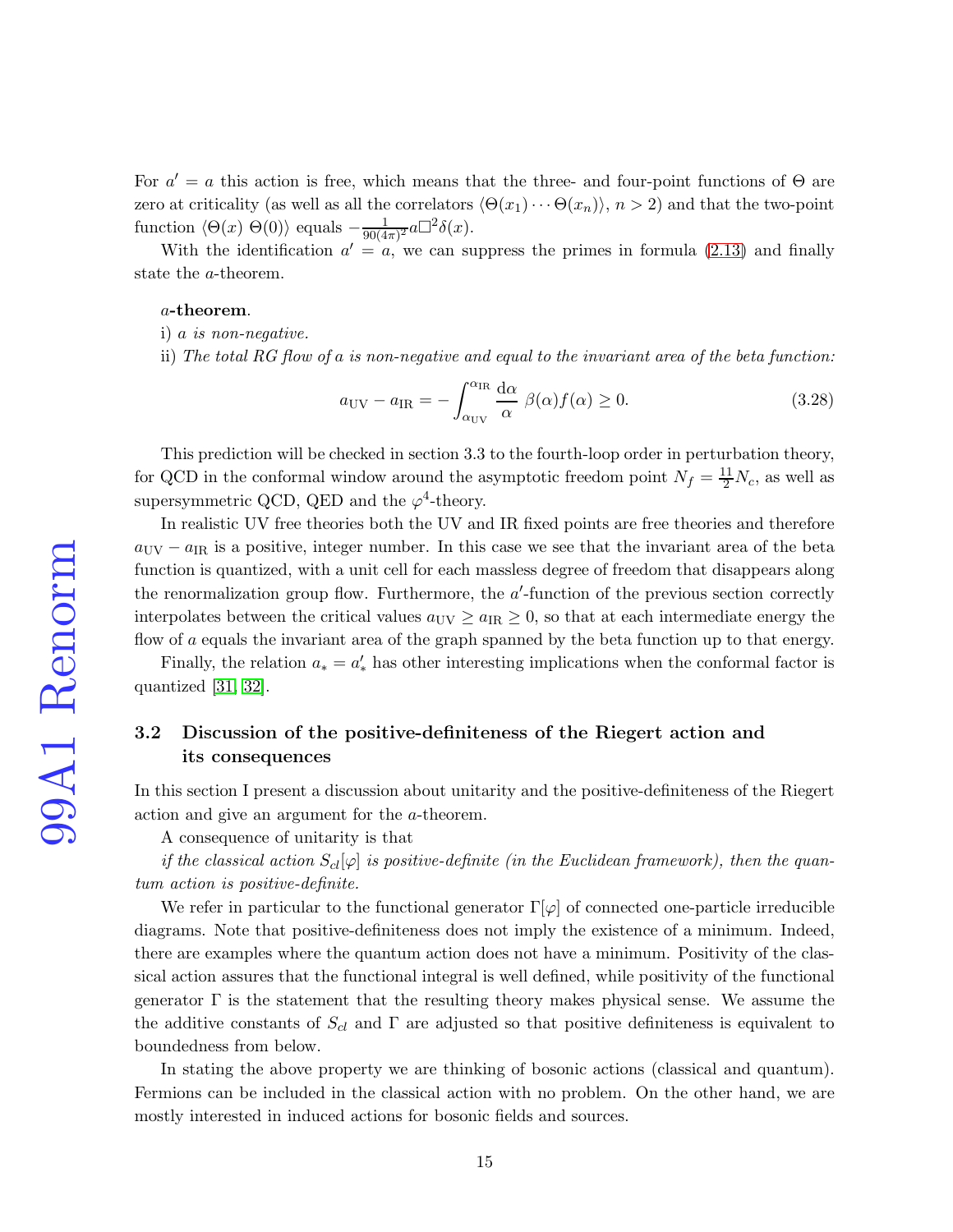For  $a' = a$  this action is free, which means that the three- and four-point functions of  $\Theta$  are zero at criticality (as well as all the correlators  $\langle \Theta(x_1)\cdots \Theta(x_n)\rangle$ ,  $n > 2$ ) and that the two-point function  $\langle \Theta(x) \Theta(0) \rangle$  equals  $-\frac{1}{90(4)}$  $\frac{1}{90(4\pi)^2}a\Box^2\delta(x).$ 

With the identification  $a' = a$ , we can suppress the primes in formula [\(2.13\)](#page-7-3) and finally state the a-theorem.

#### a-theorem.

i) a is non-negative.

ii) The total RG flow of a is non-negative and equal to the invariant area of the beta function:

<span id="page-14-0"></span>
$$
a_{\rm UV} - a_{\rm IR} = -\int_{\alpha_{\rm UV}}^{\alpha_{\rm IR}} \frac{d\alpha}{\alpha} \ \beta(\alpha) f(\alpha) \ge 0. \tag{3.28}
$$

This prediction will be checked in section 3.3 to the fourth-loop order in perturbation theory, for QCD in the conformal window around the asymptotic freedom point  $N_f = \frac{11}{2} N_c$ , as well as supersymmetric QCD, QED and the  $\varphi^4$ -theory.

In realistic UV free theories both the UV and IR fixed points are free theories and therefore  $a_{\text{UV}} - a_{\text{IR}}$  is a positive, integer number. In this case we see that the invariant area of the beta function is quantized, with a unit cell for each massless degree of freedom that disappears along the renormalization group flow. Furthermore, the  $a'$ -function of the previous section correctly interpolates between the critical values  $a_{\text{UV}} \ge a_{\text{IR}} \ge 0$ , so that at each intermediate energy the flow of a equals the invariant area of the graph spanned by the beta function up to that energy.

Finally, the relation  $a_* = a'_*$  has other interesting implications when the conformal factor is quantized [\[31,](#page-28-8) [32\]](#page-28-9).

# 3.2 Discussion of the positive-definiteness of the Riegert action and its consequences

In this section I present a discussion about unitarity and the positive-definiteness of the Riegert action and give an argument for the a-theorem.

A consequence of unitarity is that

if the classical action  $S_{cl}[\varphi]$  is positive-definite (in the Euclidean framework), then the quantum action is positive-definite.

We refer in particular to the functional generator  $\Gamma[\varphi]$  of connected one-particle irreducible diagrams. Note that positive-definiteness does not imply the existence of a minimum. Indeed, there are examples where the quantum action does not have a minimum. Positivity of the classical action assures that the functional integral is well defined, while positivity of the functional generator  $\Gamma$  is the statement that the resulting theory makes physical sense. We assume the the additive constants of  $S_{cl}$  and  $\Gamma$  are adjusted so that positive definiteness is equivalent to boundedness from below.

In stating the above property we are thinking of bosonic actions (classical and quantum). Fermions can be included in the classical action with no problem. On the other hand, we are mostly interested in induced actions for bosonic fields and sources.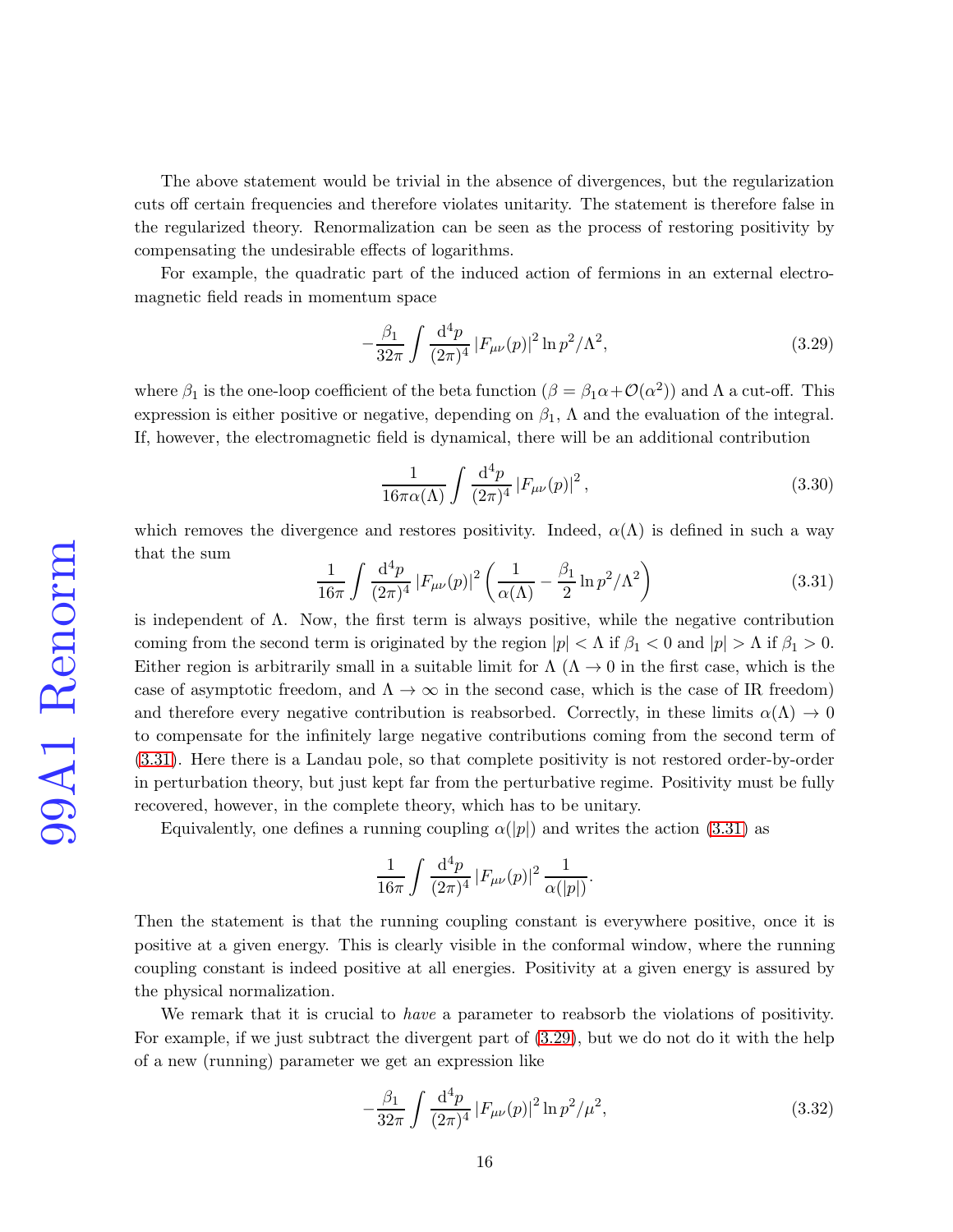The above statement would be trivial in the absence of divergences, but the regularization cuts off certain frequencies and therefore violates unitarity. The statement is therefore false in the regularized theory. Renormalization can be seen as the process of restoring positivity by compensating the undesirable effects of logarithms.

For example, the quadratic part of the induced action of fermions in an external electromagnetic field reads in momentum space

<span id="page-15-1"></span>
$$
-\frac{\beta_1}{32\pi} \int \frac{\mathrm{d}^4 p}{(2\pi)^4} |F_{\mu\nu}(p)|^2 \ln p^2 / \Lambda^2,
$$
\n(3.29)

where  $\beta_1$  is the one-loop coefficient of the beta function  $(\beta = \beta_1 \alpha + \mathcal{O}(\alpha^2))$  and  $\Lambda$  a cut-off. This expression is either positive or negative, depending on  $\beta_1$ ,  $\Lambda$  and the evaluation of the integral. If, however, the electromagnetic field is dynamical, there will be an additional contribution

$$
\frac{1}{16\pi\alpha(\Lambda)}\int \frac{\mathrm{d}^4p}{(2\pi)^4} |F_{\mu\nu}(p)|^2\,,\tag{3.30}
$$

which removes the divergence and restores positivity. Indeed,  $\alpha(\Lambda)$  is defined in such a way that the sum

<span id="page-15-0"></span>
$$
\frac{1}{16\pi} \int \frac{d^4 p}{(2\pi)^4} |F_{\mu\nu}(p)|^2 \left(\frac{1}{\alpha(\Lambda)} - \frac{\beta_1}{2} \ln p^2 / \Lambda^2\right) \tag{3.31}
$$

is independent of  $\Lambda$ . Now, the first term is always positive, while the negative contribution coming from the second term is originated by the region  $|p| < \Lambda$  if  $\beta_1 < 0$  and  $|p| > \Lambda$  if  $\beta_1 > 0$ . Either region is arbitrarily small in a suitable limit for  $\Lambda(\Lambda \to 0$  in the first case, which is the case of asymptotic freedom, and  $\Lambda \to \infty$  in the second case, which is the case of IR freedom) and therefore every negative contribution is reabsorbed. Correctly, in these limits  $\alpha(\Lambda) \to 0$ to compensate for the infinitely large negative contributions coming from the second term of [\(3.31\)](#page-15-0). Here there is a Landau pole, so that complete positivity is not restored order-by-order in perturbation theory, but just kept far from the perturbative regime. Positivity must be fully recovered, however, in the complete theory, which has to be unitary.

Equivalently, one defines a running coupling  $\alpha(|p|)$  and writes the action [\(3.31\)](#page-15-0) as

$$
\frac{1}{16\pi}\int\frac{\mathrm{d}^4p}{(2\pi)^4}\left|F_{\mu\nu}(p)\right|^2\frac{1}{\alpha(|p|)}.
$$

Then the statement is that the running coupling constant is everywhere positive, once it is positive at a given energy. This is clearly visible in the conformal window, where the running coupling constant is indeed positive at all energies. Positivity at a given energy is assured by the physical normalization.

We remark that it is crucial to *have* a parameter to reabsorb the violations of positivity. For example, if we just subtract the divergent part of [\(3.29\)](#page-15-1), but we do not do it with the help of a new (running) parameter we get an expression like

$$
-\frac{\beta_1}{32\pi} \int \frac{\mathrm{d}^4 p}{(2\pi)^4} |F_{\mu\nu}(p)|^2 \ln p^2 / \mu^2,\tag{3.32}
$$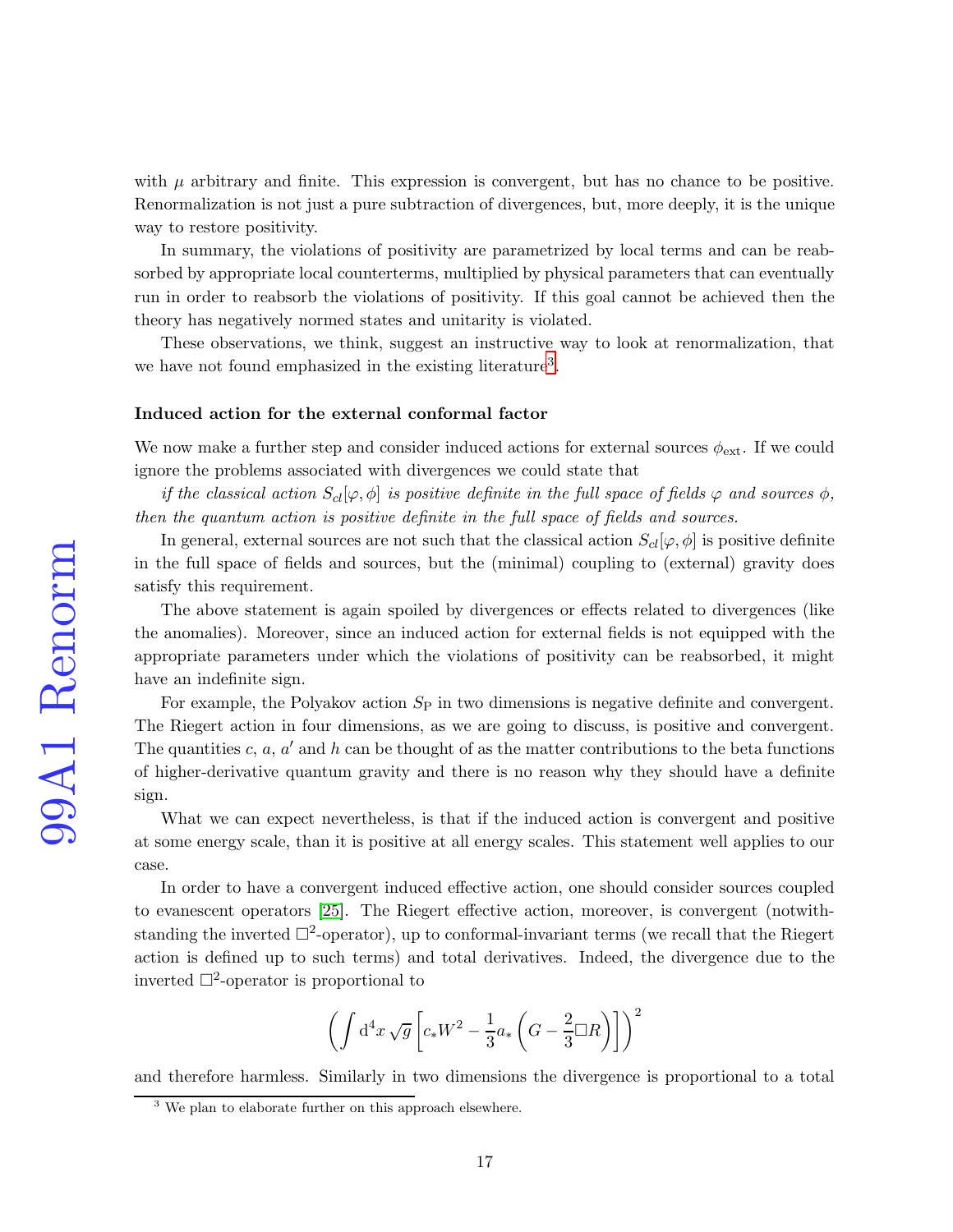with  $\mu$  arbitrary and finite. This expression is convergent, but has no chance to be positive. Renormalization is not just a pure subtraction of divergences, but, more deeply, it is the unique way to restore positivity.

In summary, the violations of positivity are parametrized by local terms and can be reabsorbed by appropriate local counterterms, multiplied by physical parameters that can eventually run in order to reabsorb the violations of positivity. If this goal cannot be achieved then the theory has negatively normed states and unitarity is violated.

These observations, we think, suggest an instructive way to look at renormalization, that we have not found emphasized in the existing literature<sup>[3](#page-16-0)</sup>.

#### Induced action for the external conformal factor

We now make a further step and consider induced actions for external sources  $\phi_{\text{ext}}$ . If we could ignore the problems associated with divergences we could state that

if the classical action  $S_{cl}[\varphi, \phi]$  is positive definite in the full space of fields  $\varphi$  and sources  $\phi$ , then the quantum action is positive definite in the full space of fields and sources.

In general, external sources are not such that the classical action  $S_{cl}[\varphi, \phi]$  is positive definite in the full space of fields and sources, but the (minimal) coupling to (external) gravity does satisfy this requirement.

The above statement is again spoiled by divergences or effects related to divergences (like the anomalies). Moreover, since an induced action for external fields is not equipped with the appropriate parameters under which the violations of positivity can be reabsorbed, it might have an indefinite sign.

For example, the Polyakov action  $S_P$  in two dimensions is negative definite and convergent. The Riegert action in four dimensions, as we are going to discuss, is positive and convergent. The quantities  $c, a, a'$  and h can be thought of as the matter contributions to the beta functions of higher-derivative quantum gravity and there is no reason why they should have a definite sign.

What we can expect nevertheless, is that if the induced action is convergent and positive at some energy scale, than it is positive at all energy scales. This statement well applies to our case.

In order to have a convergent induced effective action, one should consider sources coupled to evanescent operators [\[25\]](#page-28-3). The Riegert effective action, moreover, is convergent (notwithstanding the inverted  $\Box^2$ -operator), up to conformal-invariant terms (we recall that the Riegert action is defined up to such terms) and total derivatives. Indeed, the divergence due to the inverted  $\Box^2$ -operator is proportional to

$$
\left(\int d^4x \sqrt{g} \left[c_*W^2 - \frac{1}{3}a_*\left(G - \frac{2}{3}\Box R\right)\right]\right)^2
$$

and therefore harmless. Similarly in two dimensions the divergence is proportional to a total

<span id="page-16-0"></span><sup>&</sup>lt;sup>3</sup> We plan to elaborate further on this approach elsewhere.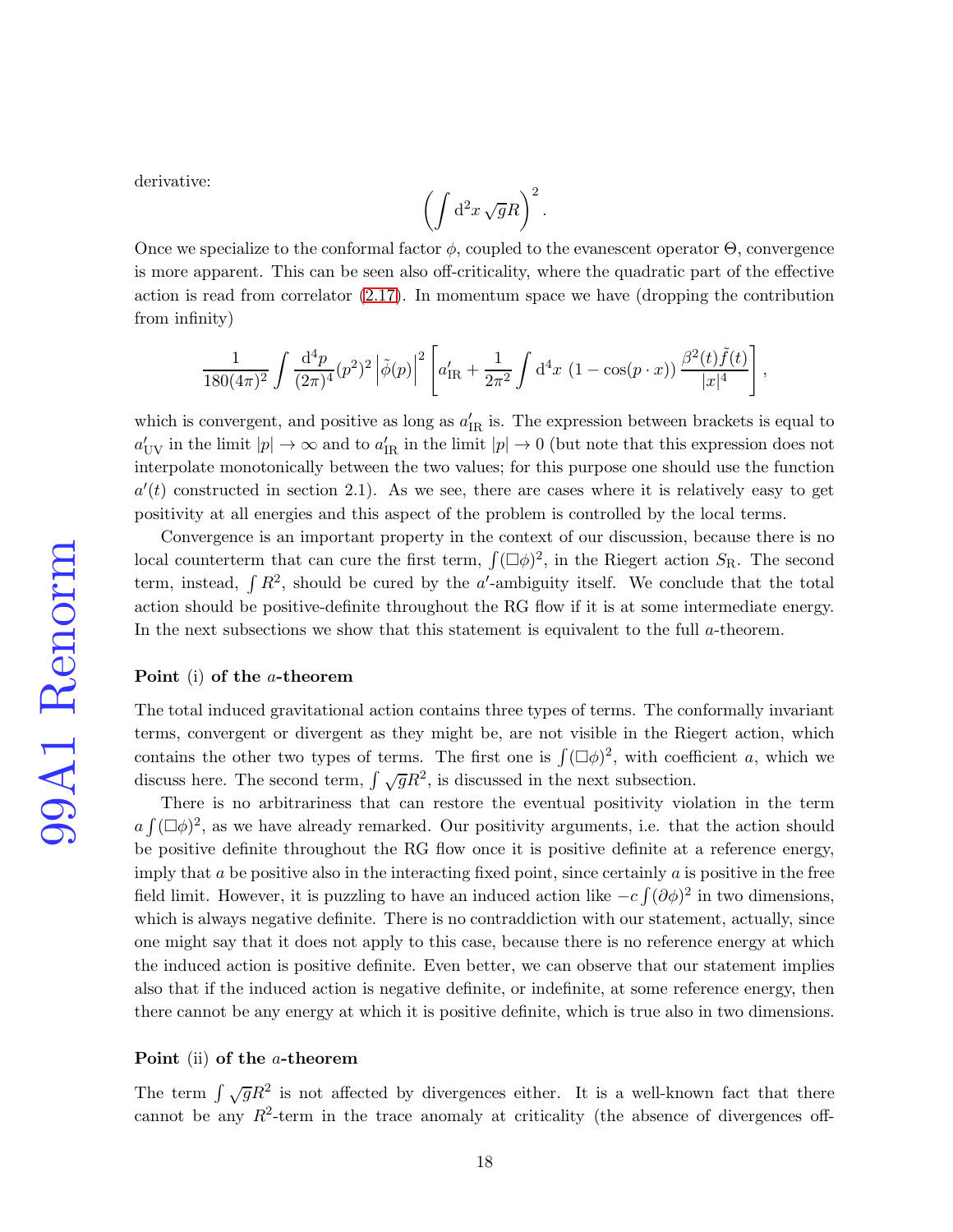derivative:

$$
\left(\int d^2x \sqrt{g}R\right)^2.
$$

Once we specialize to the conformal factor  $\phi$ , coupled to the evanescent operator  $\Theta$ , convergence is more apparent. This can be seen also off-criticality, where the quadratic part of the effective action is read from correlator [\(2.17\)](#page-9-0). In momentum space we have (dropping the contribution from infinity)

$$
\frac{1}{180(4\pi)^2} \int \frac{d^4p}{(2\pi)^4} (p^2)^2 \left| \tilde{\phi}(p) \right|^2 \left[ a'_{IR} + \frac{1}{2\pi^2} \int d^4x \ (1 - \cos(p \cdot x)) \frac{\beta^2(t)\tilde{f}(t)}{|x|^4} \right],
$$

which is convergent, and positive as long as  $a'_{IR}$  is. The expression between brackets is equal to  $a'_{UV}$  in the limit  $|p| \to \infty$  and to  $a'_{IR}$  in the limit  $|p| \to 0$  (but note that this expression does not interpolate monotonically between the two values; for this purpose one should use the function  $a'(t)$  constructed in section 2.1). As we see, there are cases where it is relatively easy to get positivity at all energies and this aspect of the problem is controlled by the local terms.

Convergence is an important property in the context of our discussion, because there is no local counterterm that can cure the first term,  $\int (\Box \phi)^2$ , in the Riegert action  $S_{\rm R}$ . The second term, instead,  $\int R^2$ , should be cured by the a'-ambiguity itself. We conclude that the total action should be positive-definite throughout the RG flow if it is at some intermediate energy. In the next subsections we show that this statement is equivalent to the full a-theorem.

#### Point (i) of the a-theorem

The total induced gravitational action contains three types of terms. The conformally invariant terms, convergent or divergent as they might be, are not visible in the Riegert action, which contains the other two types of terms. The first one is  $\int (\Box \phi)^2$ , with coefficient a, which we discuss here. The second term,  $\int \sqrt{g}R^2$ , is discussed in the next subsection.

There is no arbitrariness that can restore the eventual positivity violation in the term  $a \int (\Box \phi)^2$ , as we have already remarked. Our positivity arguments, i.e. that the action should be positive definite throughout the RG flow once it is positive definite at a reference energy, imply that  $a$  be positive also in the interacting fixed point, since certainly  $a$  is positive in the free field limit. However, it is puzzling to have an induced action like  $-c \int (\partial \phi)^2$  in two dimensions, which is always negative definite. There is no contraddiction with our statement, actually, since one might say that it does not apply to this case, because there is no reference energy at which the induced action is positive definite. Even better, we can observe that our statement implies also that if the induced action is negative definite, or indefinite, at some reference energy, then there cannot be any energy at which it is positive definite, which is true also in two dimensions.

#### Point (ii) of the a-theorem

The term  $\int \sqrt{g}R^2$  is not affected by divergences either. It is a well-known fact that there cannot be any  $R^2$ -term in the trace anomaly at criticality (the absence of divergences off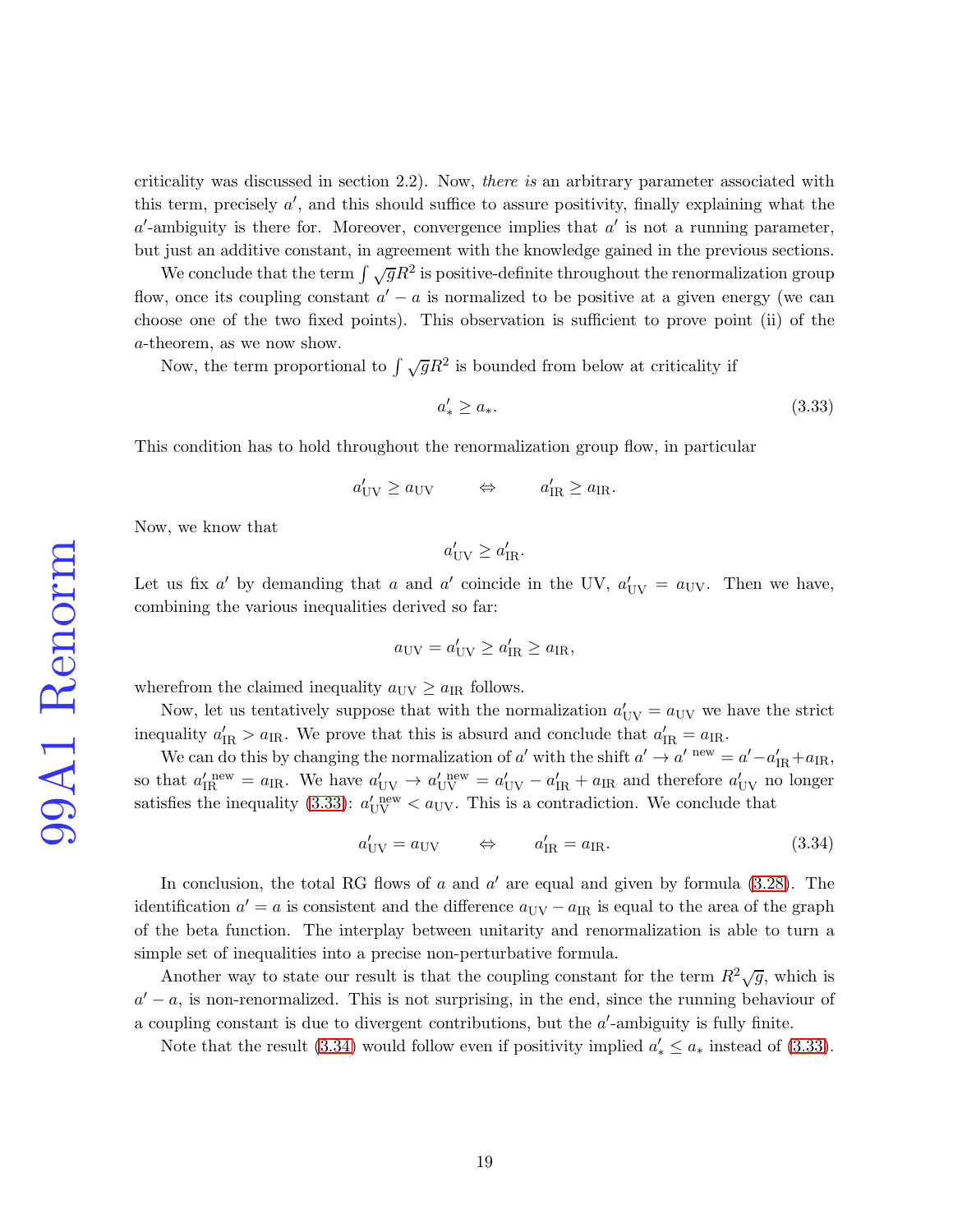criticality was discussed in section 2.2). Now, there is an arbitrary parameter associated with this term, precisely  $a'$ , and this should suffice to assure positivity, finally explaining what the  $a'$ -ambiguity is there for. Moreover, convergence implies that  $a'$  is not a running parameter, but just an additive constant, in agreement with the knowledge gained in the previous sections.

We conclude that the term  $\int \sqrt{g}R^2$  is positive-definite throughout the renormalization group flow, once its coupling constant  $a' - a$  is normalized to be positive at a given energy (we can choose one of the two fixed points). This observation is sufficient to prove point (ii) of the a-theorem, as we now show.

Now, the term proportional to  $\int \sqrt{g}R^2$  is bounded from below at criticality if

<span id="page-18-0"></span>
$$
a'_* \ge a_*.\tag{3.33}
$$

This condition has to hold throughout the renormalization group flow, in particular

$$
a'_{\text{UV}} \ge a_{\text{UV}} \qquad \Leftrightarrow \qquad a'_{\text{IR}} \ge a_{\text{IR}}.
$$

Now, we know that

 $a'_{\text{UV}} \ge a'_{\text{IR}}.$ 

Let us fix a' by demanding that a and a' coincide in the UV,  $a'_{UV} = a_{UV}$ . Then we have, combining the various inequalities derived so far:

$$
a_{\rm UV} = a'_{\rm UV} \ge a'_{\rm IR} \ge a_{\rm IR},
$$

wherefrom the claimed inequality  $a_{\text{UV}} \ge a_{\text{IR}}$  follows.

Now, let us tentatively suppose that with the normalization  $a'_{UV} = a_{UV}$  we have the strict inequality  $a'_{\rm IR} > a_{\rm IR}$ . We prove that this is absurd and conclude that  $a'_{\rm IR} = a_{\rm IR}$ .

We can do this by changing the normalization of a' with the shift  $a' \to a'$  new  $= a' - a'_{IR} + a_{IR}$ , so that  $a'_{IR}^{new} = a_{IR}$ . We have  $a'_{UV} \rightarrow a'_{UV}^{new} = a'_{UV} - a'_{IR} + a_{IR}$  and therefore  $a'_{UV}$  no longer satisfies the inequality [\(3.33\)](#page-18-0):  $a'_{UV}^{\text{new}} < a_{UV}$ . This is a contradiction. We conclude that

<span id="page-18-1"></span>
$$
a'_{\rm UV} = a_{\rm UV} \qquad \Leftrightarrow \qquad a'_{\rm IR} = a_{\rm IR}.\tag{3.34}
$$

In conclusion, the total RG flows of  $a$  and  $a'$  are equal and given by formula  $(3.28)$ . The identification  $a' = a$  is consistent and the difference  $a_{\text{UV}} - a_{\text{IR}}$  is equal to the area of the graph of the beta function. The interplay between unitarity and renormalization is able to turn a simple set of inequalities into a precise non-perturbative formula.

Another way to state our result is that the coupling constant for the term  $R^2\sqrt{g}$ , which is  $a' - a$ , is non-renormalized. This is not surprising, in the end, since the running behaviour of a coupling constant is due to divergent contributions, but the  $a'$ -ambiguity is fully finite.

Note that the result [\(3.34\)](#page-18-1) would follow even if positivity implied  $a'_* \le a_*$  instead of [\(3.33\)](#page-18-0).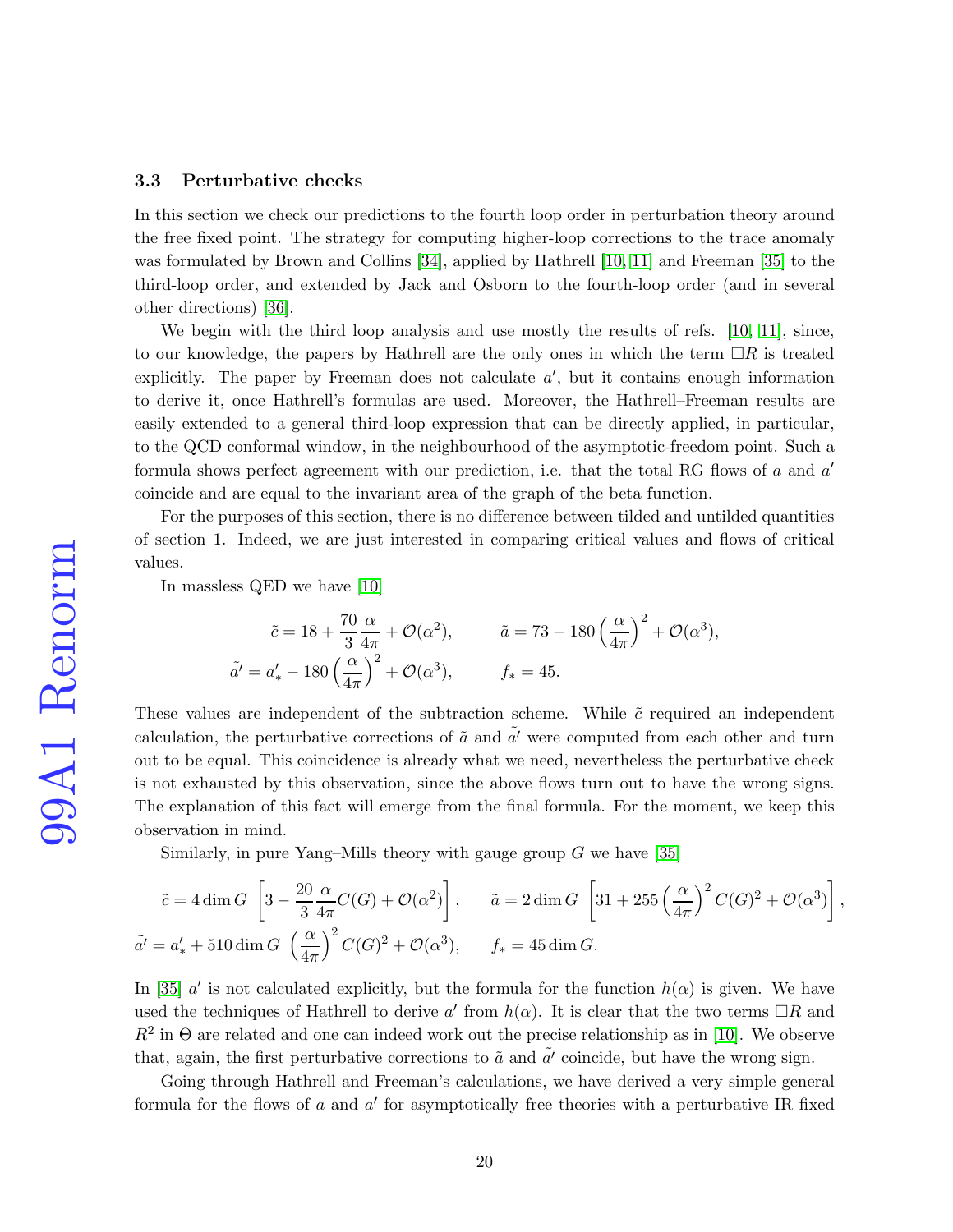#### 3.3 Perturbative checks

In this section we check our predictions to the fourth loop order in perturbation theory around the free fixed point. The strategy for computing higher-loop corrections to the trace anomaly was formulated by Brown and Collins [\[34\]](#page-28-11), applied by Hathrell [\[10,](#page-27-3) [11\]](#page-27-4) and Freeman [\[35\]](#page-28-12) to the third-loop order, and extended by Jack and Osborn to the fourth-loop order (and in several other directions) [\[36\]](#page-29-0).

We begin with the third loop analysis and use mostly the results of refs. [\[10,](#page-27-3) [11\]](#page-27-4), since, to our knowledge, the papers by Hathrell are the only ones in which the term  $\Box R$  is treated explicitly. The paper by Freeman does not calculate  $a'$ , but it contains enough information to derive it, once Hathrell's formulas are used. Moreover, the Hathrell–Freeman results are easily extended to a general third-loop expression that can be directly applied, in particular, to the QCD conformal window, in the neighbourhood of the asymptotic-freedom point. Such a formula shows perfect agreement with our prediction, i.e. that the total RG flows of  $a$  and  $a'$ coincide and are equal to the invariant area of the graph of the beta function.

For the purposes of this section, there is no difference between tilded and untilded quantities of section 1. Indeed, we are just interested in comparing critical values and flows of critical values.

In massless QED we have [\[10\]](#page-27-3)

$$
\tilde{c} = 18 + \frac{70}{3} \frac{\alpha}{4\pi} + \mathcal{O}(\alpha^2), \qquad \tilde{a} = 73 - 180 \left(\frac{\alpha}{4\pi}\right)^2 + \mathcal{O}(\alpha^3),
$$
  

$$
\tilde{a}' = a'_* - 180 \left(\frac{\alpha}{4\pi}\right)^2 + \mathcal{O}(\alpha^3), \qquad f_* = 45.
$$

These values are independent of the subtraction scheme. While  $\tilde{c}$  required an independent calculation, the perturbative corrections of  $\tilde{a}$  and  $\tilde{a'}$  were computed from each other and turn out to be equal. This coincidence is already what we need, nevertheless the perturbative check is not exhausted by this observation, since the above flows turn out to have the wrong signs. The explanation of this fact will emerge from the final formula. For the moment, we keep this observation in mind.

Similarly, in pure Yang–Mills theory with gauge group  $G$  we have [\[35\]](#page-28-12)

$$
\tilde{c} = 4 \dim G \left[ 3 - \frac{20 \alpha}{3} \frac{\alpha}{4\pi} C(G) + \mathcal{O}(\alpha^2) \right], \qquad \tilde{a} = 2 \dim G \left[ 31 + 255 \left( \frac{\alpha}{4\pi} \right)^2 C(G)^2 + \mathcal{O}(\alpha^3) \right],
$$
  

$$
\tilde{a'} = a'_* + 510 \dim G \left( \frac{\alpha}{4\pi} \right)^2 C(G)^2 + \mathcal{O}(\alpha^3), \qquad f_* = 45 \dim G.
$$

In [\[35\]](#page-28-12)  $a'$  is not calculated explicitly, but the formula for the function  $h(\alpha)$  is given. We have used the techniques of Hathrell to derive a' from  $h(\alpha)$ . It is clear that the two terms  $\Box R$  and  $R^2$  in  $\Theta$  are related and one can indeed work out the precise relationship as in [\[10\]](#page-27-3). We observe that, again, the first perturbative corrections to  $\tilde{a}$  and  $\tilde{a'}$  coincide, but have the wrong sign.

Going through Hathrell and Freeman's calculations, we have derived a very simple general formula for the flows of a and  $a'$  for asymptotically free theories with a perturbative IR fixed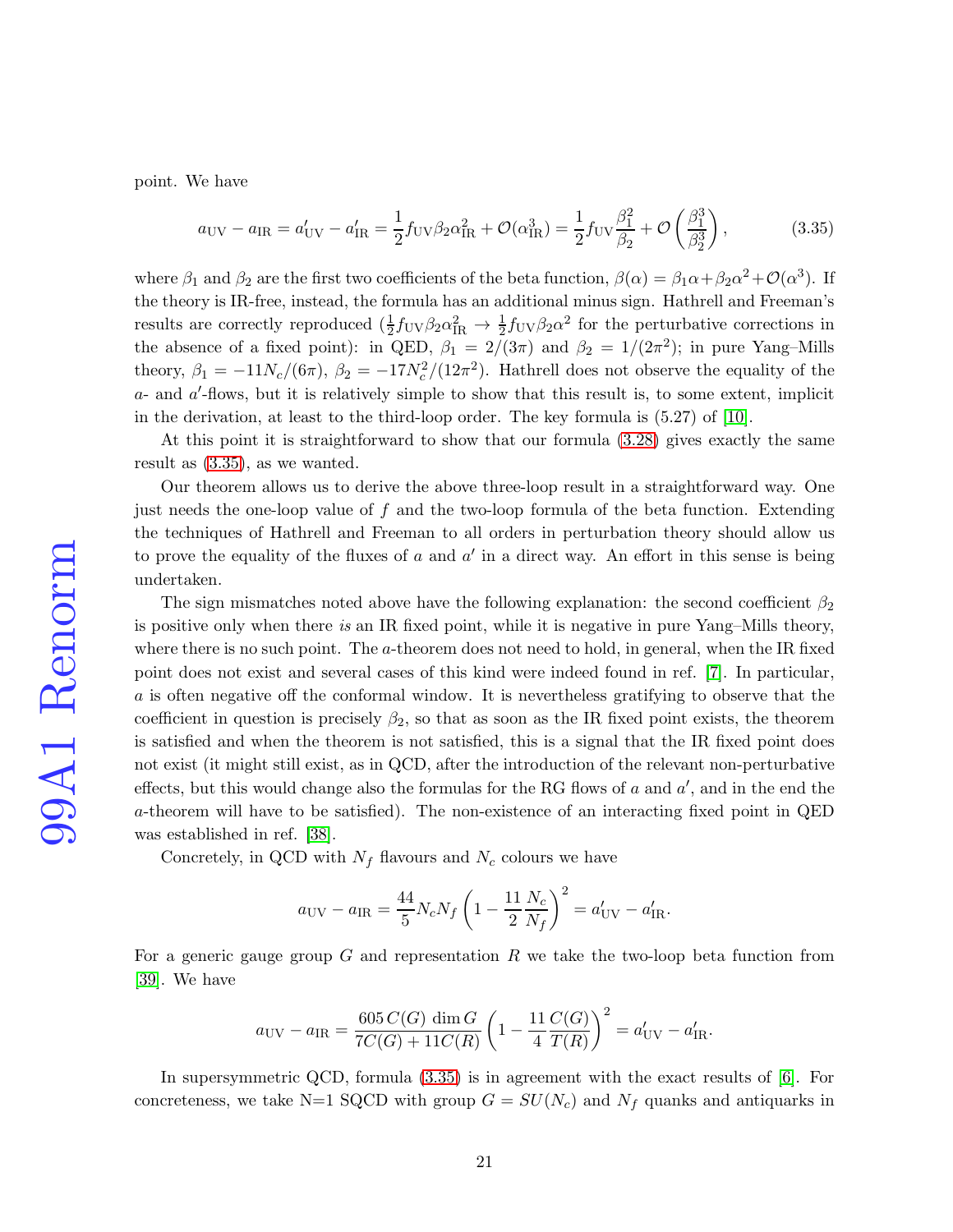point. We have

<span id="page-20-0"></span>
$$
a_{\rm UV} - a_{\rm IR} = a'_{\rm UV} - a'_{\rm IR} = \frac{1}{2} f_{\rm UV} \beta_2 \alpha_{\rm IR}^2 + \mathcal{O}(\alpha_{\rm IR}^3) = \frac{1}{2} f_{\rm UV} \frac{\beta_1^2}{\beta_2^2} + \mathcal{O}\left(\frac{\beta_1^3}{\beta_2^3}\right),\tag{3.35}
$$

where  $\beta_1$  and  $\beta_2$  are the first two coefficients of the beta function,  $\beta(\alpha) = \beta_1\alpha + \beta_2\alpha^2 + \mathcal{O}(\alpha^3)$ . If the theory is IR-free, instead, the formula has an additional minus sign. Hathrell and Freeman's results are correctly reproduced  $(\frac{1}{2}f_{UV}\beta_2\alpha_{IR}^2 \to \frac{1}{2}f_{UV}\beta_2\alpha^2$  for the perturbative corrections in the absence of a fixed point): in QED,  $\beta_1 = 2/(3\pi)$  and  $\beta_2 = 1/(2\pi^2)$ ; in pure Yang-Mills theory,  $\beta_1 = -11N_c/(6\pi)$ ,  $\beta_2 = -17N_c^2/(12\pi^2)$ . Hathrell does not observe the equality of the  $a$ - and  $a'$ -flows, but it is relatively simple to show that this result is, to some extent, implicit in the derivation, at least to the third-loop order. The key formula is (5.27) of [\[10\]](#page-27-3).

At this point it is straightforward to show that our formula [\(3.28\)](#page-14-0) gives exactly the same result as [\(3.35\)](#page-20-0), as we wanted.

Our theorem allows us to derive the above three-loop result in a straightforward way. One just needs the one-loop value of f and the two-loop formula of the beta function. Extending the techniques of Hathrell and Freeman to all orders in perturbation theory should allow us to prove the equality of the fluxes of  $a$  and  $a'$  in a direct way. An effort in this sense is being undertaken.

The sign mismatches noted above have the following explanation: the second coefficient  $\beta_2$ is positive only when there is an IR fixed point, while it is negative in pure Yang–Mills theory, where there is no such point. The a-theorem does not need to hold, in general, when the IR fixed point does not exist and several cases of this kind were indeed found in ref. [\[7\]](#page-27-0). In particular, a is often negative off the conformal window. It is nevertheless gratifying to observe that the coefficient in question is precisely  $\beta_2$ , so that as soon as the IR fixed point exists, the theorem is satisfied and when the theorem is not satisfied, this is a signal that the IR fixed point does not exist (it might still exist, as in QCD, after the introduction of the relevant non-perturbative effects, but this would change also the formulas for the RG flows of  $a$  and  $a'$ , and in the end the a-theorem will have to be satisfied). The non-existence of an interacting fixed point in QED was established in ref. [\[38\]](#page-29-1).

Concretely, in QCD with  $N_f$  flavours and  $N_c$  colours we have

$$
a_{\rm UV} - a_{\rm IR} = \frac{44}{5} N_c N_f \left( 1 - \frac{11}{2} \frac{N_c}{N_f} \right)^2 = a_{\rm UV}' - a_{\rm IR}'.
$$

For a generic gauge group  $G$  and representation  $R$  we take the two-loop beta function from [\[39\]](#page-29-2). We have

$$
a_{\rm UV} - a_{\rm IR} = \frac{605\,C(G)\,\dim G}{7C(G) + 11C(R)} \left(1 - \frac{11}{4} \frac{C(G)}{T(R)}\right)^2 = a'_{\rm UV} - a'_{\rm IR}.
$$

In supersymmetric QCD, formula [\(3.35\)](#page-20-0) is in agreement with the exact results of [\[6\]](#page-26-5). For concreteness, we take N=1 SQCD with group  $G = SU(N_c)$  and  $N_f$  quanks and antiquarks in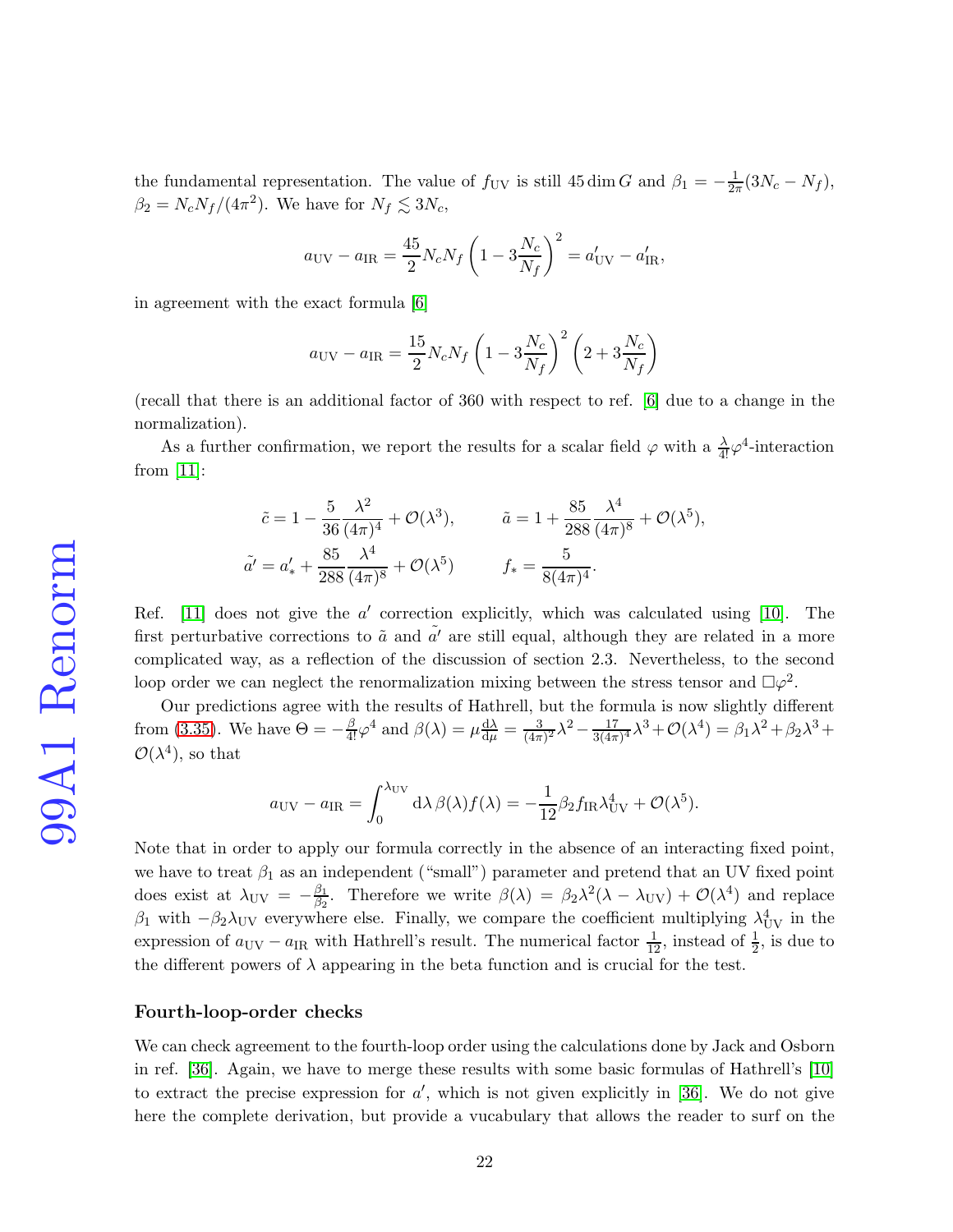the fundamental representation. The value of  $f_{\rm UV}$  is still 45 dim G and  $\beta_1 = -\frac{1}{2\pi}(3N_c - N_f)$ ,  $\beta_2 = N_c N_f / (4\pi^2)$ . We have for  $N_f \lesssim 3N_c$ ,

$$
a_{\rm UV} - a_{\rm IR} = \frac{45}{2} N_c N_f \left( 1 - 3 \frac{N_c}{N_f} \right)^2 = a_{\rm UV}' - a_{\rm IR}',
$$

in agreement with the exact formula [\[6\]](#page-26-5)

$$
a_{\rm UV} - a_{\rm IR} = \frac{15}{2} N_c N_f \left( 1 - 3 \frac{N_c}{N_f} \right)^2 \left( 2 + 3 \frac{N_c}{N_f} \right)
$$

(recall that there is an additional factor of 360 with respect to ref. [\[6\]](#page-26-5) due to a change in the normalization).

As a further confirmation, we report the results for a scalar field  $\varphi$  with a  $\frac{\lambda}{4!} \varphi^4$ -interaction from [\[11\]](#page-27-4):

$$
\tilde{c} = 1 - \frac{5}{36} \frac{\lambda^2}{(4\pi)^4} + \mathcal{O}(\lambda^3), \qquad \tilde{a} = 1 + \frac{85}{288} \frac{\lambda^4}{(4\pi)^8} + \mathcal{O}(\lambda^5),
$$
  

$$
\tilde{a'} = a'_* + \frac{85}{288} \frac{\lambda^4}{(4\pi)^8} + \mathcal{O}(\lambda^5) \qquad f_* = \frac{5}{8(4\pi)^4}.
$$

Ref. [\[11\]](#page-27-4) does not give the  $a'$  correction explicitly, which was calculated using [\[10\]](#page-27-3). The first perturbative corrections to  $\tilde{a}$  and  $\tilde{a'}$  are still equal, although they are related in a more complicated way, as a reflection of the discussion of section 2.3. Nevertheless, to the second loop order we can neglect the renormalization mixing between the stress tensor and  $\Box \varphi^2$ .

Our predictions agree with the results of Hathrell, but the formula is now slightly different from [\(3.35\)](#page-20-0). We have  $\Theta = -\frac{\beta}{4!} \varphi^4$  and  $\beta(\lambda) = \mu \frac{d\lambda}{d\mu} = \frac{3}{(4\pi)}$  $\frac{3}{(4\pi)^2}\lambda^2 - \frac{17}{3(4\pi)}$  $\frac{17}{3(4\pi)^4}\lambda^3+\mathcal{O}(\lambda^4)=\beta_1\lambda^2+\beta_2\lambda^3+$  $\mathcal{O}(\lambda^4)$ , so that

$$
a_{\rm UV} - a_{\rm IR} = \int_0^{\lambda_{\rm UV}} d\lambda \,\beta(\lambda) f(\lambda) = -\frac{1}{12} \beta_2 f_{\rm IR} \lambda_{\rm UV}^4 + \mathcal{O}(\lambda^5).
$$

Note that in order to apply our formula correctly in the absence of an interacting fixed point, we have to treat  $\beta_1$  as an independent ("small") parameter and pretend that an UV fixed point does exist at  $\lambda_{\text{UV}} = -\frac{\beta_1}{\beta_2}$  $\frac{\beta_1}{\beta_2}$ . Therefore we write  $\beta(\lambda) = \beta_2 \lambda^2 (\lambda - \lambda_{\rm UV}) + \mathcal{O}(\lambda^4)$  and replace β<sub>1</sub> with  $-\beta_2\lambda_{\rm UV}$  everywhere else. Finally, we compare the coefficient multiplying  $\lambda_{\rm UV}^4$  in the expression of  $a_{\rm UV} - a_{\rm IR}$  with Hathrell's result. The numerical factor  $\frac{1}{12}$ , instead of  $\frac{1}{2}$ , is due to the different powers of  $\lambda$  appearing in the beta function and is crucial for the test.

#### Fourth-loop-order checks

We can check agreement to the fourth-loop order using the calculations done by Jack and Osborn in ref. [\[36\]](#page-29-0). Again, we have to merge these results with some basic formulas of Hathrell's [\[10\]](#page-27-3) to extract the precise expression for  $a'$ , which is not given explicitly in [\[36\]](#page-29-0). We do not give here the complete derivation, but provide a vucabulary that allows the reader to surf on the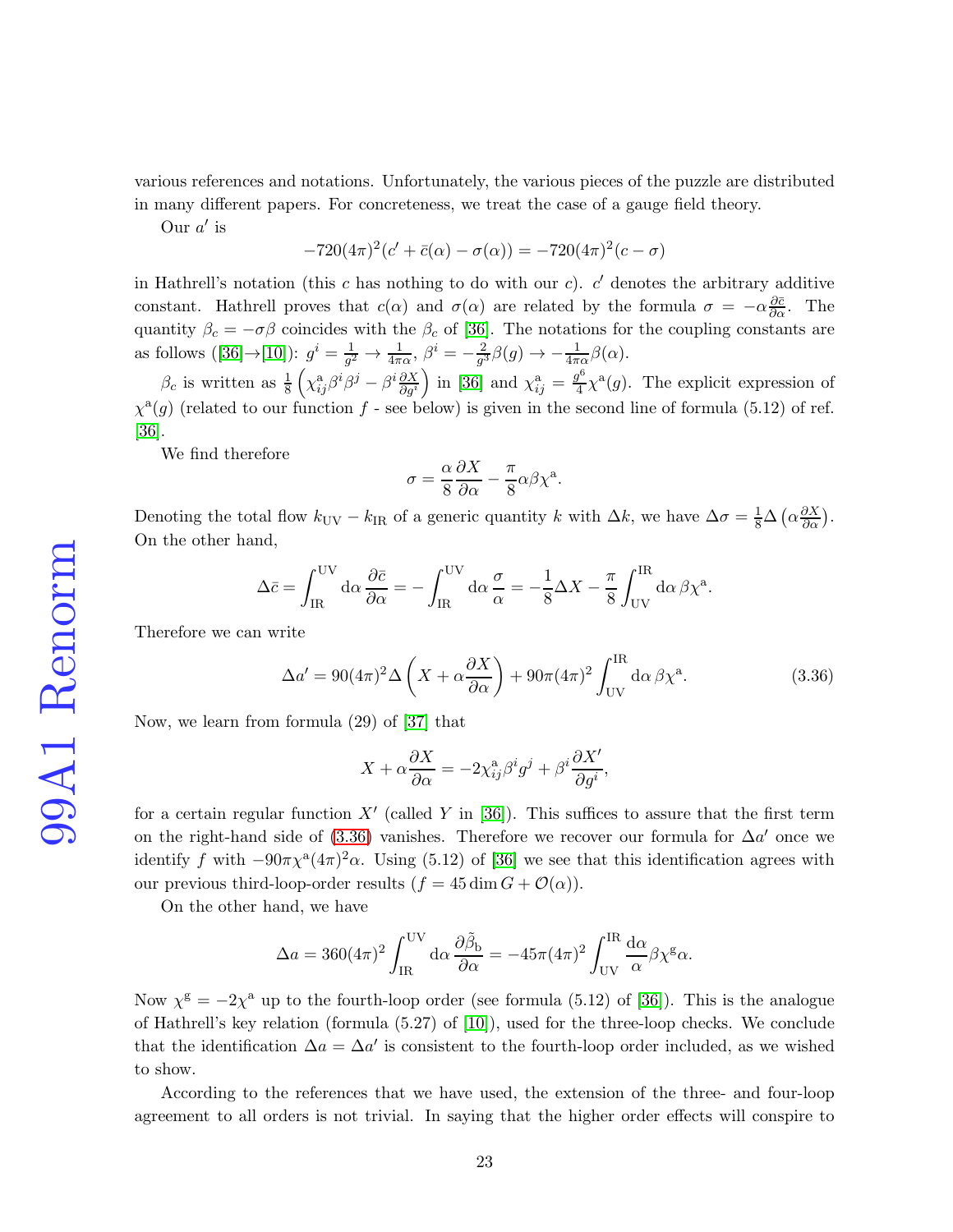various references and notations. Unfortunately, the various pieces of the puzzle are distributed in many different papers. For concreteness, we treat the case of a gauge field theory.

Our  $a'$  is

$$
-720(4\pi)^{2}(c' + \bar{c}(\alpha) - \sigma(\alpha)) = -720(4\pi)^{2}(c - \sigma)
$$

in Hathrell's notation (this c has nothing to do with our c).  $c'$  denotes the arbitrary additive constant. Hathrell proves that  $c(\alpha)$  and  $\sigma(\alpha)$  are related by the formula  $\sigma = -\alpha \frac{\partial \bar{c}}{\partial \alpha}$ . The quantity  $\beta_c = -\sigma\beta$  coincides with the  $\beta_c$  of [\[36\]](#page-29-0). The notations for the coupling constants are asfollows ([\[36\]](#page-29-0) $\rightarrow$ [\[10\]](#page-27-3)):  $g^i = \frac{1}{g^2}$  $\frac{1}{g^2}\rightarrow \frac{1}{4\pi\alpha},\ \beta^i=-\frac{2}{g^3}$  $\frac{2}{g^3}\beta(g) \rightarrow -\frac{1}{4\pi\alpha}\beta(\alpha).$ 

 $\beta_c$  is written as  $\frac{1}{8} \left( \chi_{ij}^a \beta^i \beta^j - \beta^i \frac{\partial X}{\partial g^i} \right)$  in [\[36\]](#page-29-0) and  $\chi_{ij}^a = \frac{g^6}{4}$  $\frac{q^6}{4}\chi^a(g)$ . The explicit expression of  $\chi^{\mathfrak{a}}(g)$  (related to our function f - see below) is given in the second line of formula (5.12) of ref. [\[36\]](#page-29-0).

We find therefore

$$
\sigma = \frac{\alpha}{8} \frac{\partial X}{\partial \alpha} - \frac{\pi}{8} \alpha \beta \chi^{a}.
$$

Denoting the total flow  $k_{\text{UV}} - k_{\text{IR}}$  of a generic quantity k with  $\Delta k$ , we have  $\Delta \sigma = \frac{1}{8} \Delta \left( \alpha \frac{\partial X}{\partial \alpha} \right)$ . On the other hand,

$$
\Delta \bar{c} = \int_{\text{IR}}^{\text{UV}} d\alpha \frac{\partial \bar{c}}{\partial \alpha} = -\int_{\text{IR}}^{\text{UV}} d\alpha \frac{\sigma}{\alpha} = -\frac{1}{8} \Delta X - \frac{\pi}{8} \int_{\text{UV}}^{\text{IR}} d\alpha \beta \chi^{a}.
$$

Therefore we can write

<span id="page-22-0"></span>
$$
\Delta a' = 90(4\pi)^2 \Delta \left( X + \alpha \frac{\partial X}{\partial \alpha} \right) + 90\pi (4\pi)^2 \int_{\text{UV}}^{\text{IR}} d\alpha \,\beta \chi^a. \tag{3.36}
$$

Now, we learn from formula (29) of [\[37\]](#page-29-3) that

$$
X + \alpha \frac{\partial X}{\partial \alpha} = -2\chi_{ij}^{\mathbf{a}} \beta^i g^j + \beta^i \frac{\partial X'}{\partial g^i},
$$

for a certain regular function X' (called Y in [\[36\]](#page-29-0)). This suffices to assure that the first term on the right-hand side of  $(3.36)$  vanishes. Therefore we recover our formula for  $\Delta a'$  once we identify f with  $-90\pi\chi^a(4\pi)^2\alpha$ . Using (5.12) of [\[36\]](#page-29-0) we see that this identification agrees with our previous third-loop-order results  $(f = 45 \dim G + \mathcal{O}(\alpha)).$ 

On the other hand, we have

$$
\Delta a = 360(4\pi)^2 \int_{\rm IR}^{\rm UV} d\alpha \, \frac{\partial \tilde{\beta}_{\rm b}}{\partial \alpha} = -45\pi (4\pi)^2 \int_{\rm UV}^{\rm IR} \frac{d\alpha}{\alpha} \beta \chi^{\rm g} \alpha.
$$

Now  $\chi^{\text{g}} = -2\chi^{\text{a}}$  up to the fourth-loop order (see formula (5.12) of [\[36\]](#page-29-0)). This is the analogue of Hathrell's key relation (formula (5.27) of [\[10\]](#page-27-3)), used for the three-loop checks. We conclude that the identification  $\Delta a = \Delta a'$  is consistent to the fourth-loop order included, as we wished to show.

According to the references that we have used, the extension of the three- and four-loop agreement to all orders is not trivial. In saying that the higher order effects will conspire to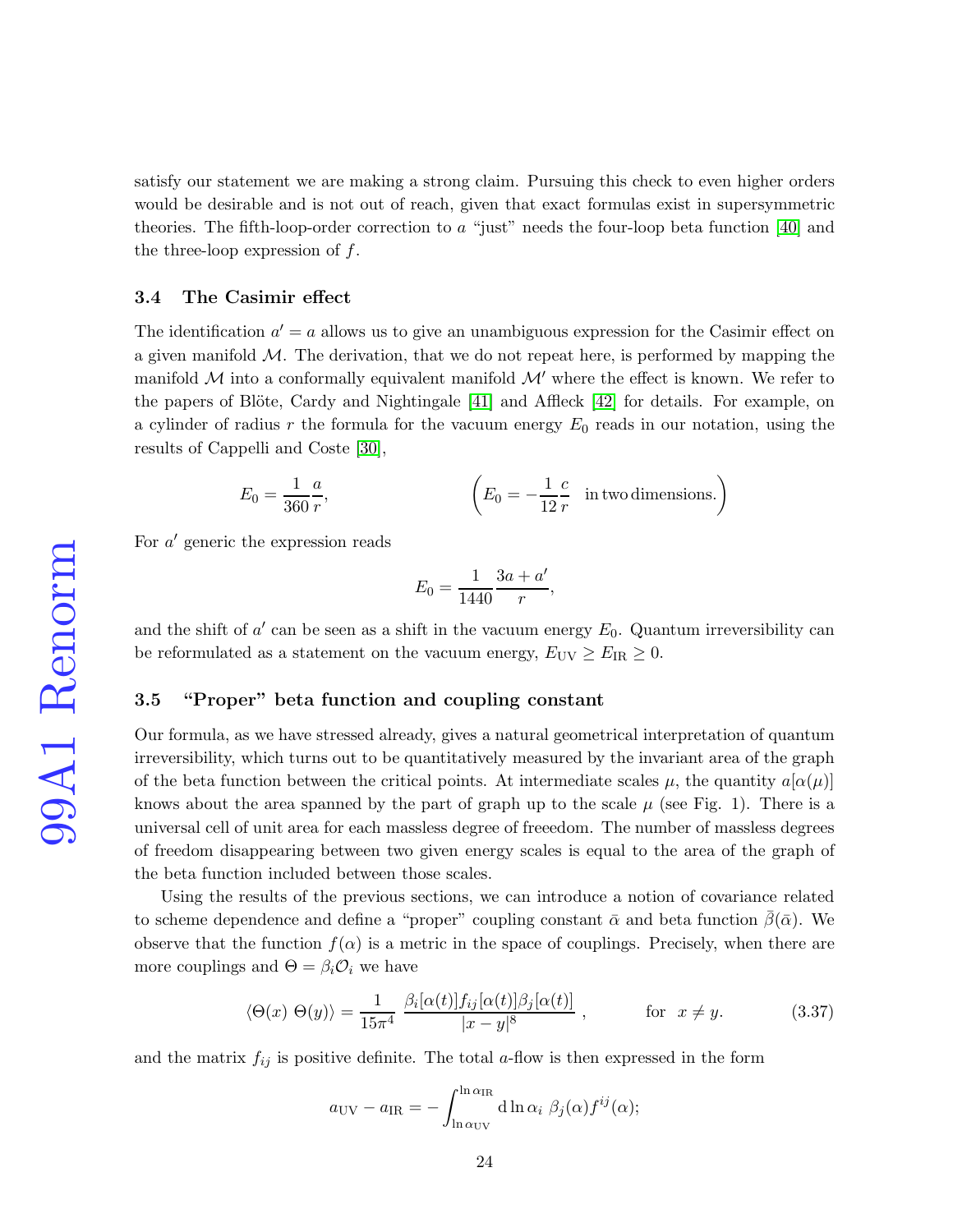satisfy our statement we are making a strong claim. Pursuing this check to even higher orders would be desirable and is not out of reach, given that exact formulas exist in supersymmetric theories. The fifth-loop-order correction to  $a$  "just" needs the four-loop beta function [\[40\]](#page-29-4) and the three-loop expression of  $f$ .

#### 3.4 The Casimir effect

The identification  $a' = a$  allows us to give an unambiguous expression for the Casimir effect on a given manifold  $M$ . The derivation, that we do not repeat here, is performed by mapping the manifold  $M$  into a conformally equivalent manifold  $M'$  where the effect is known. We refer to the papers of Blöte, Cardy and Nightingale  $[41]$  and Affleck  $[42]$  for details. For example, on a cylinder of radius r the formula for the vacuum energy  $E_0$  reads in our notation, using the results of Cappelli and Coste [\[30\]](#page-28-7),

$$
E_0 = \frac{1}{360} \frac{a}{r}, \qquad \qquad \left( E_0 = -\frac{1}{12} \frac{c}{r} \quad \text{in two dimensions.} \right)
$$

For a' generic the expression reads

$$
E_0 = \frac{1}{1440} \frac{3a + a'}{r},
$$

and the shift of  $a'$  can be seen as a shift in the vacuum energy  $E_0$ . Quantum irreversibility can be reformulated as a statement on the vacuum energy,  $E_{\text{UV}} \geq E_{\text{IR}} \geq 0$ .

## 3.5 "Proper" beta function and coupling constant

Our formula, as we have stressed already, gives a natural geometrical interpretation of quantum irreversibility, which turns out to be quantitatively measured by the invariant area of the graph of the beta function between the critical points. At intermediate scales  $\mu$ , the quantity  $a[\alpha(\mu)]$ knows about the area spanned by the part of graph up to the scale  $\mu$  (see Fig. 1). There is a universal cell of unit area for each massless degree of freeedom. The number of massless degrees of freedom disappearing between two given energy scales is equal to the area of the graph of the beta function included between those scales.

Using the results of the previous sections, we can introduce a notion of covariance related to scheme dependence and define a "proper" coupling constant  $\bar{\alpha}$  and beta function  $\beta(\bar{\alpha})$ . We observe that the function  $f(\alpha)$  is a metric in the space of couplings. Precisely, when there are more couplings and  $\Theta = \beta_i \mathcal{O}_i$  we have

$$
\langle \Theta(x) \ \Theta(y) \rangle = \frac{1}{15\pi^4} \ \frac{\beta_i[\alpha(t)] f_{ij}[\alpha(t)] \beta_j[\alpha(t)]}{|x - y|^8} \ , \qquad \text{for } x \neq y. \tag{3.37}
$$

and the matrix  $f_{ij}$  is positive definite. The total a-flow is then expressed in the form

$$
a_{\rm UV} - a_{\rm IR} = -\int_{\ln \alpha_{\rm UV}}^{\ln \alpha_{\rm IR}} d\ln \alpha_i \ \beta_j(\alpha) f^{ij}(\alpha);
$$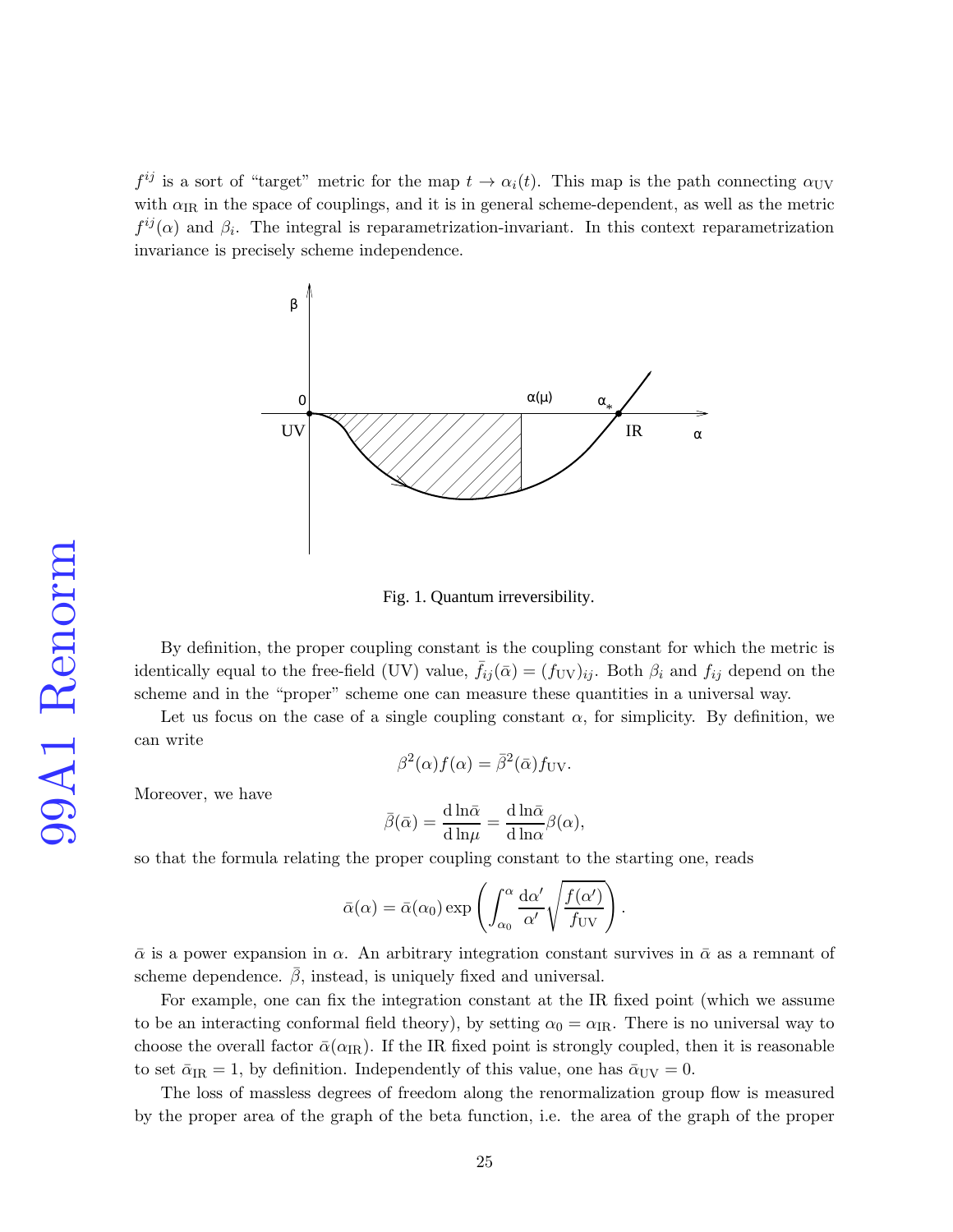$f^{ij}$  is a sort of "target" metric for the map  $t \to \alpha_i(t)$ . This map is the path connecting  $\alpha_{UV}$ with  $\alpha_{IR}$  in the space of couplings, and it is in general scheme-dependent, as well as the metric  $f^{ij}(\alpha)$  and  $\beta_i$ . The integral is reparametrization-invariant. In this context reparametrization invariance is precisely scheme independence.



Fig. 1. Quantum irreversibility.

By definition, the proper coupling constant is the coupling constant for which the metric is identically equal to the free-field (UV) value,  $\bar{f}_{ij}(\bar{\alpha}) = (f_{UV})_{ij}$ . Both  $\beta_i$  and  $f_{ij}$  depend on the scheme and in the "proper" scheme one can measure these quantities in a universal way.

Let us focus on the case of a single coupling constant  $\alpha$ , for simplicity. By definition, we can write

$$
\beta^2(\alpha)f(\alpha) = \overline{\beta}^2(\overline{\alpha})f_{\rm UV}.
$$

Moreover, we have

$$
\bar{\beta}(\bar{\alpha}) = \frac{\mathrm{d}\ln\bar{\alpha}}{\mathrm{d}\ln\mu} = \frac{\mathrm{d}\ln\bar{\alpha}}{\mathrm{d}\ln\alpha}\beta(\alpha),
$$

so that the formula relating the proper coupling constant to the starting one, reads

$$
\bar{\alpha}(\alpha) = \bar{\alpha}(\alpha_0) \exp \left( \int_{\alpha_0}^{\alpha} \frac{d\alpha'}{\alpha'} \sqrt{\frac{f(\alpha')}{f_{\rm UV}}} \right).
$$

 $\bar{\alpha}$  is a power expansion in  $\alpha$ . An arbitrary integration constant survives in  $\bar{\alpha}$  as a remnant of scheme dependence.  $\beta$ , instead, is uniquely fixed and universal.

For example, one can fix the integration constant at the IR fixed point (which we assume to be an interacting conformal field theory), by setting  $\alpha_0 = \alpha_{\text{IR}}$ . There is no universal way to choose the overall factor  $\bar{\alpha}(\alpha_{IR})$ . If the IR fixed point is strongly coupled, then it is reasonable to set  $\bar{\alpha}_{IR} = 1$ , by definition. Independently of this value, one has  $\bar{\alpha}_{UV} = 0$ .

The loss of massless degrees of freedom along the renormalization group flow is measured by the proper area of the graph of the beta function, i.e. the area of the graph of the proper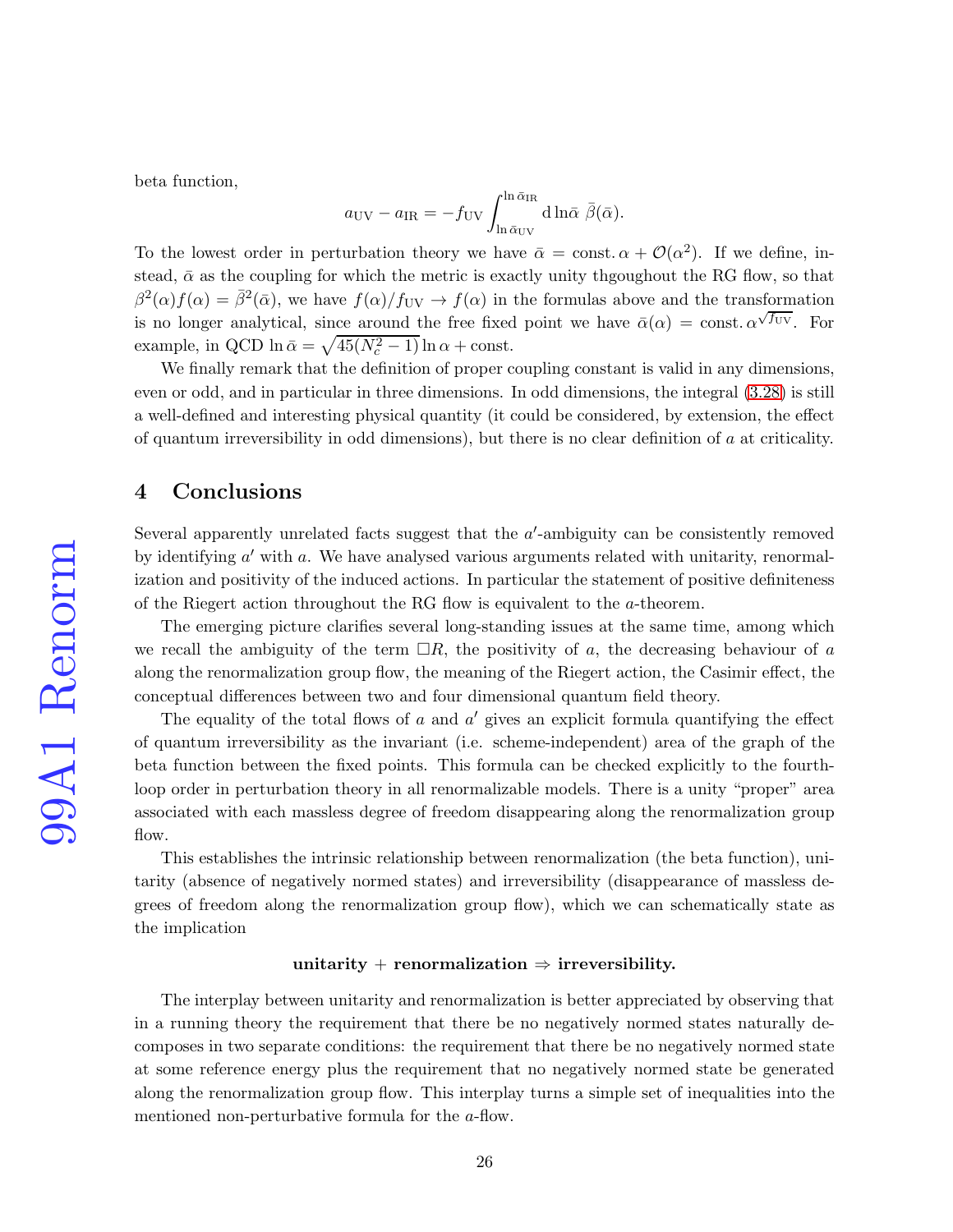beta function,

$$
a_{\rm UV} - a_{\rm IR} = -f_{\rm UV} \int_{\ln \bar{\alpha}_{\rm UV}}^{\ln \bar{\alpha}_{\rm IR}} d\ln \bar{\alpha} \ \bar{\beta}(\bar{\alpha}).
$$

To the lowest order in perturbation theory we have  $\bar{\alpha} = \text{const.} \alpha + \mathcal{O}(\alpha^2)$ . If we define, instead,  $\bar{\alpha}$  as the coupling for which the metric is exactly unity thgoughout the RG flow, so that  $\beta^2(\alpha) f(\alpha) = \bar{\beta}^2(\bar{\alpha})$ , we have  $f(\alpha)/f_{\rm UV} \to f(\alpha)$  in the formulas above and the transformation is no longer analytical, since around the free fixed point we have  $\bar{\alpha}(\alpha) = \text{const.} \alpha^{\sqrt{f_{UV}}}$ . For example, in QCD ln  $\bar{\alpha} = \sqrt{45(N_c^2 - 1)} \ln \alpha + \text{const.}$ 

We finally remark that the definition of proper coupling constant is valid in any dimensions, even or odd, and in particular in three dimensions. In odd dimensions, the integral [\(3.28\)](#page-14-0) is still a well-defined and interesting physical quantity (it could be considered, by extension, the effect of quantum irreversibility in odd dimensions), but there is no clear definition of a at criticality.

## 4 Conclusions

Several apparently unrelated facts suggest that the  $a'$ -ambiguity can be consistently removed by identifying  $a'$  with  $a$ . We have analysed various arguments related with unitarity, renormalization and positivity of the induced actions. In particular the statement of positive definiteness of the Riegert action throughout the RG flow is equivalent to the a-theorem.

The emerging picture clarifies several long-standing issues at the same time, among which we recall the ambiguity of the term  $\Box R$ , the positivity of a, the decreasing behaviour of a along the renormalization group flow, the meaning of the Riegert action, the Casimir effect, the conceptual differences between two and four dimensional quantum field theory.

The equality of the total flows of  $a$  and  $a'$  gives an explicit formula quantifying the effect of quantum irreversibility as the invariant (i.e. scheme-independent) area of the graph of the beta function between the fixed points. This formula can be checked explicitly to the fourthloop order in perturbation theory in all renormalizable models. There is a unity "proper" area associated with each massless degree of freedom disappearing along the renormalization group flow.

This establishes the intrinsic relationship between renormalization (the beta function), unitarity (absence of negatively normed states) and irreversibility (disappearance of massless degrees of freedom along the renormalization group flow), which we can schematically state as the implication

#### unitarity + renormalization  $\Rightarrow$  irreversibility.

The interplay between unitarity and renormalization is better appreciated by observing that in a running theory the requirement that there be no negatively normed states naturally decomposes in two separate conditions: the requirement that there be no negatively normed state at some reference energy plus the requirement that no negatively normed state be generated along the renormalization group flow. This interplay turns a simple set of inequalities into the mentioned non-perturbative formula for the a-flow.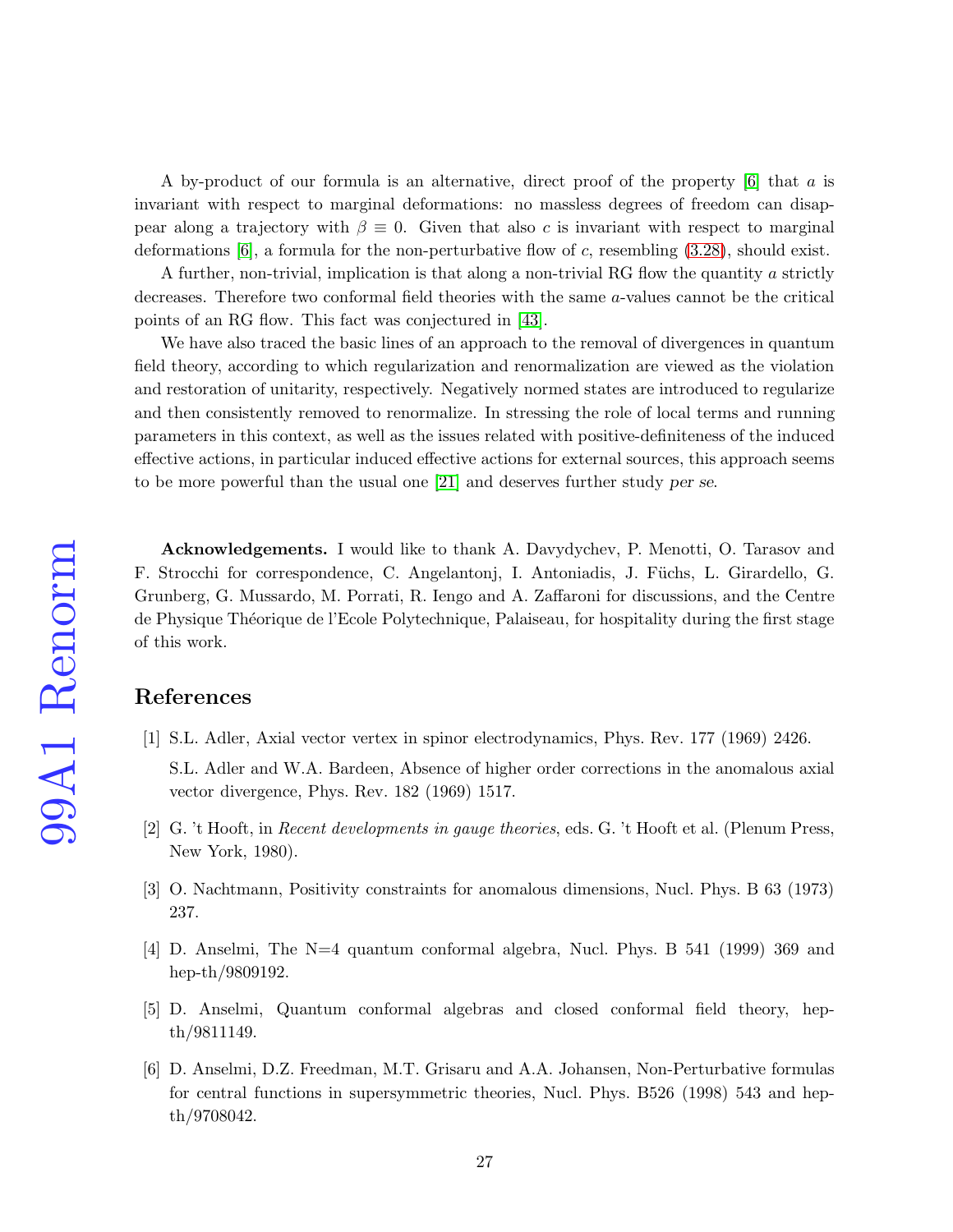A by-product of our formula is an alternative, direct proof of the property [\[6\]](#page-26-5) that a is invariant with respect to marginal deformations: no massless degrees of freedom can disappear along a trajectory with  $\beta \equiv 0$ . Given that also c is invariant with respect to marginal deformations  $[6]$ , a formula for the non-perturbative flow of c, resembling  $(3.28)$ , should exist.

A further, non-trivial, implication is that along a non-trivial RG flow the quantity a strictly decreases. Therefore two conformal field theories with the same a-values cannot be the critical points of an RG flow. This fact was conjectured in [\[43\]](#page-29-7).

We have also traced the basic lines of an approach to the removal of divergences in quantum field theory, according to which regularization and renormalization are viewed as the violation and restoration of unitarity, respectively. Negatively normed states are introduced to regularize and then consistently removed to renormalize. In stressing the role of local terms and running parameters in this context, as well as the issues related with positive-definiteness of the induced effective actions, in particular induced effective actions for external sources, this approach seems to be more powerful than the usual one [\[21\]](#page-27-13) and deserves further study per se.

Acknowledgements. I would like to thank A. Davydychev, P. Menotti, O. Tarasov and F. Strocchi for correspondence, C. Angelantonj, I. Antoniadis, J. Füchs, L. Girardello, G. Grunberg, G. Mussardo, M. Porrati, R. Iengo and A. Zaffaroni for discussions, and the Centre de Physique Théorique de l'Ecole Polytechnique, Palaiseau, for hospitality during the first stage of this work.

# <span id="page-26-0"></span>References

- [1] S.L. Adler, Axial vector vertex in spinor electrodynamics, Phys. Rev. 177 (1969) 2426.
	- S.L. Adler and W.A. Bardeen, Absence of higher order corrections in the anomalous axial vector divergence, Phys. Rev. 182 (1969) 1517.
- <span id="page-26-2"></span><span id="page-26-1"></span>[2] G. 't Hooft, in Recent developments in gauge theories, eds. G. 't Hooft et al. (Plenum Press, New York, 1980).
- <span id="page-26-3"></span>[3] O. Nachtmann, Positivity constraints for anomalous dimensions, Nucl. Phys. B 63 (1973) 237.
- <span id="page-26-4"></span>[4] D. Anselmi, The N=4 quantum conformal algebra, Nucl. Phys. B 541 (1999) 369 and hep-th/9809192.
- <span id="page-26-5"></span>[5] D. Anselmi, Quantum conformal algebras and closed conformal field theory, hepth/9811149.
- [6] D. Anselmi, D.Z. Freedman, M.T. Grisaru and A.A. Johansen, Non-Perturbative formulas for central functions in supersymmetric theories, Nucl. Phys. B526 (1998) 543 and hepth/9708042.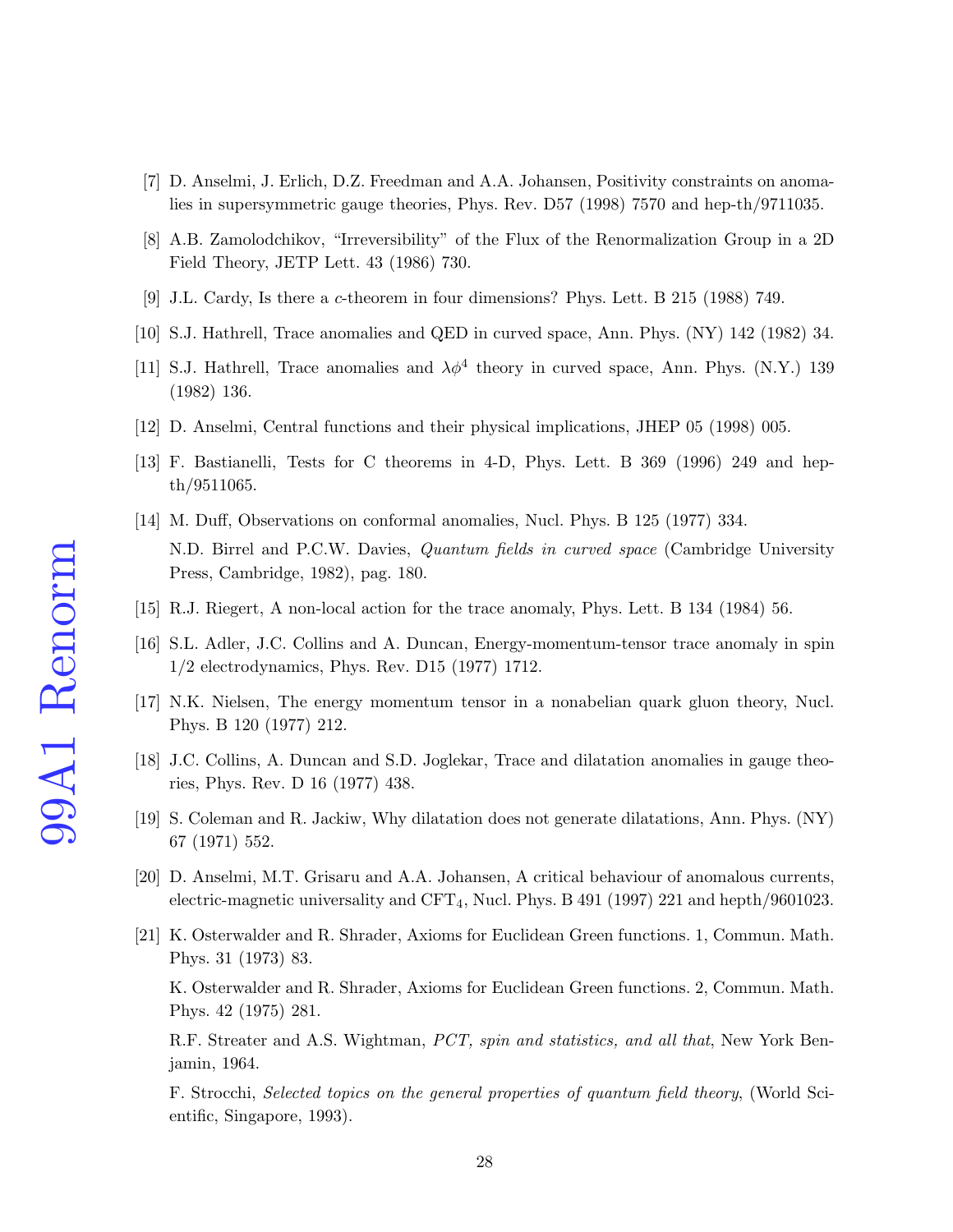- <span id="page-27-1"></span><span id="page-27-0"></span>[7] D. Anselmi, J. Erlich, D.Z. Freedman and A.A. Johansen, Positivity constraints on anomalies in supersymmetric gauge theories, Phys. Rev. D57 (1998) 7570 and hep-th/9711035.
- <span id="page-27-2"></span>[8] A.B. Zamolodchikov, "Irreversibility" of the Flux of the Renormalization Group in a 2D Field Theory, JETP Lett. 43 (1986) 730.
- <span id="page-27-3"></span>[9] J.L. Cardy, Is there a c-theorem in four dimensions? Phys. Lett. B 215 (1988) 749.
- <span id="page-27-4"></span>[10] S.J. Hathrell, Trace anomalies and QED in curved space, Ann. Phys. (NY) 142 (1982) 34.
- <span id="page-27-5"></span>[11] S.J. Hathrell, Trace anomalies and  $\lambda \phi^4$  theory in curved space, Ann. Phys. (N.Y.) 139 (1982) 136.
- <span id="page-27-6"></span>[12] D. Anselmi, Central functions and their physical implications, JHEP 05 (1998) 005.
- <span id="page-27-7"></span>[13] F. Bastianelli, Tests for C theorems in 4-D, Phys. Lett. B 369 (1996) 249 and hepth/9511065.
- [14] M. Duff, Observations on conformal anomalies, Nucl. Phys. B 125 (1977) 334. N.D. Birrel and P.C.W. Davies, Quantum fields in curved space (Cambridge University Press, Cambridge, 1982), pag. 180.
- <span id="page-27-9"></span><span id="page-27-8"></span>[15] R.J. Riegert, A non-local action for the trace anomaly, Phys. Lett. B 134 (1984) 56.
- <span id="page-27-10"></span>[16] S.L. Adler, J.C. Collins and A. Duncan, Energy-momentum-tensor trace anomaly in spin 1/2 electrodynamics, Phys. Rev. D15 (1977) 1712.
- <span id="page-27-11"></span>[17] N.K. Nielsen, The energy momentum tensor in a nonabelian quark gluon theory, Nucl. Phys. B 120 (1977) 212.
- <span id="page-27-14"></span>[18] J.C. Collins, A. Duncan and S.D. Joglekar, Trace and dilatation anomalies in gauge theories, Phys. Rev. D 16 (1977) 438.
- <span id="page-27-12"></span>[19] S. Coleman and R. Jackiw, Why dilatation does not generate dilatations, Ann. Phys. (NY) 67 (1971) 552.
- <span id="page-27-13"></span>[20] D. Anselmi, M.T. Grisaru and A.A. Johansen, A critical behaviour of anomalous currents, electric-magnetic universality and CFT4, Nucl. Phys. B 491 (1997) 221 and hepth/9601023.
- [21] K. Osterwalder and R. Shrader, Axioms for Euclidean Green functions. 1, Commun. Math. Phys. 31 (1973) 83.

K. Osterwalder and R. Shrader, Axioms for Euclidean Green functions. 2, Commun. Math. Phys. 42 (1975) 281.

R.F. Streater and A.S. Wightman, PCT, spin and statistics, and all that, New York Benjamin, 1964.

F. Strocchi, Selected topics on the general properties of quantum field theory, (World Scientific, Singapore, 1993).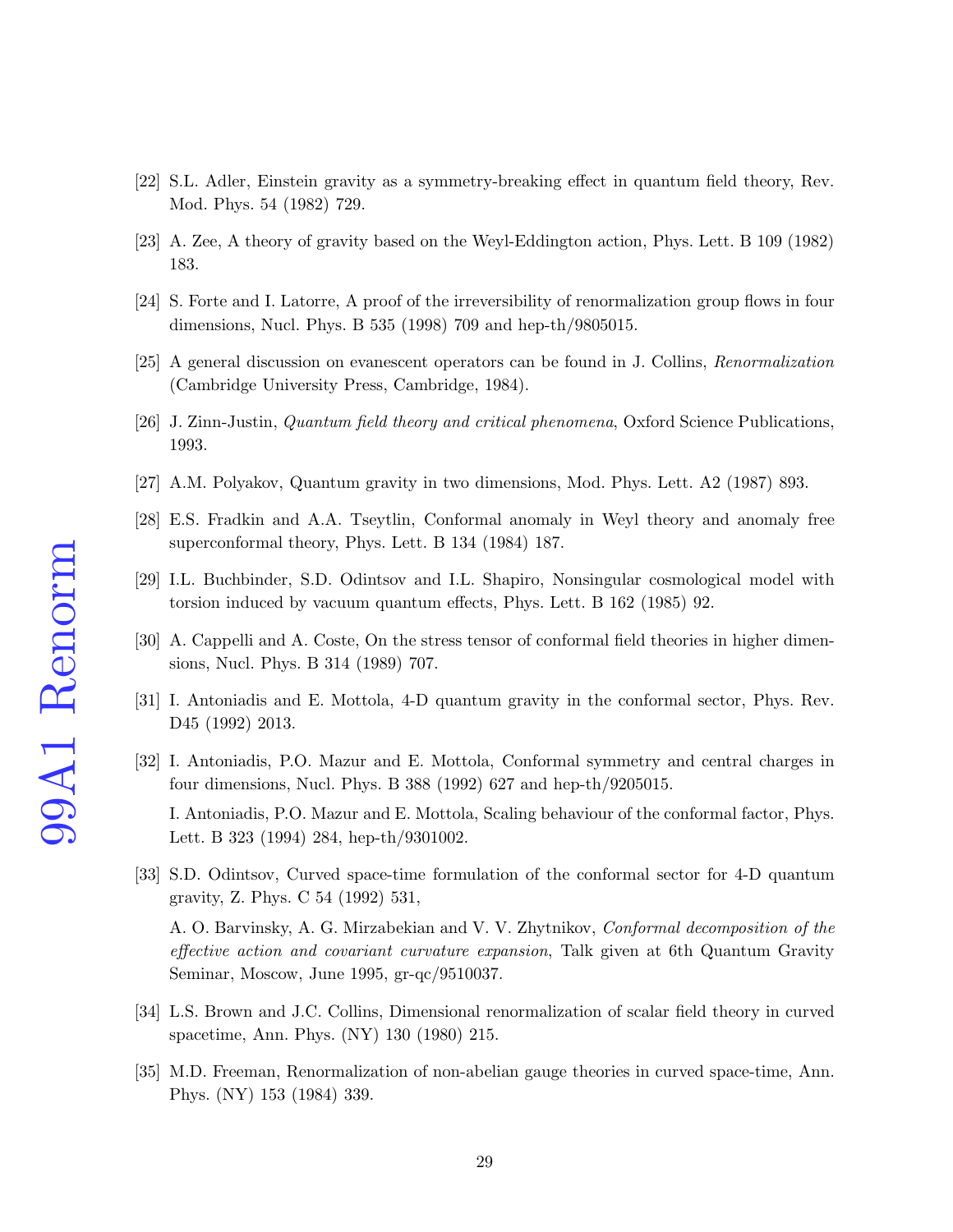- <span id="page-28-1"></span><span id="page-28-0"></span>[22] S.L. Adler, Einstein gravity as a symmetry-breaking effect in quantum field theory, Rev. Mod. Phys. 54 (1982) 729.
- <span id="page-28-2"></span>[23] A. Zee, A theory of gravity based on the Weyl-Eddington action, Phys. Lett. B 109 (1982) 183.
- <span id="page-28-3"></span>[24] S. Forte and I. Latorre, A proof of the irreversibility of renormalization group flows in four dimensions, Nucl. Phys. B 535 (1998) 709 and hep-th/9805015.
- <span id="page-28-4"></span>[25] A general discussion on evanescent operators can be found in J. Collins, Renormalization (Cambridge University Press, Cambridge, 1984).
- <span id="page-28-5"></span>[26] J. Zinn-Justin, Quantum field theory and critical phenomena, Oxford Science Publications, 1993.
- <span id="page-28-6"></span>[27] A.M. Polyakov, Quantum gravity in two dimensions, Mod. Phys. Lett. A2 (1987) 893.
- [28] E.S. Fradkin and A.A. Tseytlin, Conformal anomaly in Weyl theory and anomaly free superconformal theory, Phys. Lett. B 134 (1984) 187.
- <span id="page-28-7"></span>[29] I.L. Buchbinder, S.D. Odintsov and I.L. Shapiro, Nonsingular cosmological model with torsion induced by vacuum quantum effects, Phys. Lett. B 162 (1985) 92.
- <span id="page-28-8"></span>[30] A. Cappelli and A. Coste, On the stress tensor of conformal field theories in higher dimensions, Nucl. Phys. B 314 (1989) 707.
- <span id="page-28-9"></span>[31] I. Antoniadis and E. Mottola, 4-D quantum gravity in the conformal sector, Phys. Rev. D45 (1992) 2013.
- [32] I. Antoniadis, P.O. Mazur and E. Mottola, Conformal symmetry and central charges in four dimensions, Nucl. Phys. B 388 (1992) 627 and hep-th/9205015. I. Antoniadis, P.O. Mazur and E. Mottola, Scaling behaviour of the conformal factor, Phys.

Lett. B 323 (1994) 284, hep-th/9301002.

<span id="page-28-10"></span>[33] S.D. Odintsov, Curved space-time formulation of the conformal sector for 4-D quantum gravity, Z. Phys. C 54 (1992) 531,

A. O. Barvinsky, A. G. Mirzabekian and V. V. Zhytnikov, Conformal decomposition of the effective action and covariant curvature expansion, Talk given at 6th Quantum Gravity Seminar, Moscow, June 1995, gr-qc/9510037.

- <span id="page-28-12"></span><span id="page-28-11"></span>[34] L.S. Brown and J.C. Collins, Dimensional renormalization of scalar field theory in curved spacetime, Ann. Phys. (NY) 130 (1980) 215.
- [35] M.D. Freeman, Renormalization of non-abelian gauge theories in curved space-time, Ann. Phys. (NY) 153 (1984) 339.